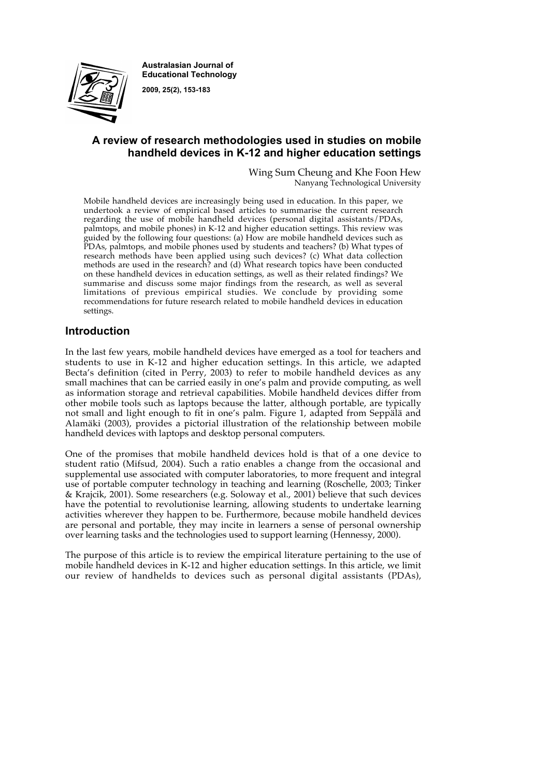

**Australasian Journal of Educational Technology**

**2009, 25(2), 153-183**

# **A review of research methodologies used in studies on mobile handheld devices in K-12 and higher education settings**

Wing Sum Cheung and Khe Foon Hew Nanyang Technological University

Mobile handheld devices are increasingly being used in education. In this paper, we undertook a review of empirical based articles to summarise the current research regarding the use of mobile handheld devices (personal digital assistants/PDAs, palmtops, and mobile phones) in K-12 and higher education settings. This review was guided by the following four questions: (a) How are mobile handheld devices such as PDAs, palmtops, and mobile phones used by students and teachers? (b) What types of research methods have been applied using such devices? (c) What data collection methods are used in the research? and (d) What research topics have been conducted on these handheld devices in education settings, as well as their related findings? We summarise and discuss some major findings from the research, as well as several limitations of previous empirical studies. We conclude by providing some recommendations for future research related to mobile handheld devices in education settings.

# **Introduction**

In the last few years, mobile handheld devices have emerged as a tool for teachers and students to use in K-12 and higher education settings. In this article, we adapted Becta's definition (cited in Perry, 2003) to refer to mobile handheld devices as any small machines that can be carried easily in one's palm and provide computing, as well as information storage and retrieval capabilities. Mobile handheld devices differ from other mobile tools such as laptops because the latter, although portable, are typically not small and light enough to fit in one's palm. Figure 1, adapted from Seppälä and Alamäki (2003), provides a pictorial illustration of the relationship between mobile handheld devices with laptops and desktop personal computers.

One of the promises that mobile handheld devices hold is that of a one device to student ratio (Mifsud, 2004). Such a ratio enables a change from the occasional and supplemental use associated with computer laboratories, to more frequent and integral use of portable computer technology in teaching and learning (Roschelle, 2003; Tinker & Krajcik, 2001). Some researchers (e.g. Soloway et al., 2001) believe that such devices have the potential to revolutionise learning, allowing students to undertake learning activities wherever they happen to be. Furthermore, because mobile handheld devices are personal and portable, they may incite in learners a sense of personal ownership over learning tasks and the technologies used to support learning (Hennessy, 2000).

The purpose of this article is to review the empirical literature pertaining to the use of mobile handheld devices in K-12 and higher education settings. In this article, we limit our review of handhelds to devices such as personal digital assistants (PDAs),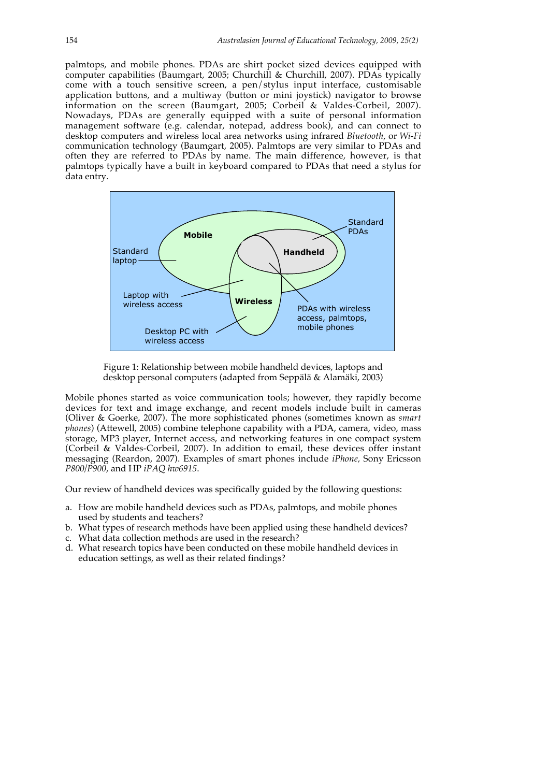palmtops, and mobile phones. PDAs are shirt pocket sized devices equipped with computer capabilities (Baumgart, 2005; Churchill & Churchill, 2007). PDAs typically come with a touch sensitive screen, a pen/stylus input interface, customisable application buttons, and a multiway (button or mini joystick) navigator to browse information on the screen (Baumgart, 2005; Corbeil & Valdes-Corbeil, 2007). Nowadays, PDAs are generally equipped with a suite of personal information management software (e.g. calendar, notepad, address book), and can connect to desktop computers and wireless local area networks using infrared *Bluetooth*, or *Wi-Fi* communication technology (Baumgart, 2005). Palmtops are very similar to PDAs and often they are referred to PDAs by name. The main difference, however, is that palmtops typically have a built in keyboard compared to PDAs that need a stylus for data entry.



Figure 1: Relationship between mobile handheld devices, laptops and desktop personal computers (adapted from Seppälä & Alamäki, 2003)

Mobile phones started as voice communication tools; however, they rapidly become devices for text and image exchange, and recent models include built in cameras (Oliver & Goerke, 2007). The more sophisticated phones (sometimes known as *smart phones*) (Attewell, 2005) combine telephone capability with a PDA, camera, video, mass storage, MP3 player, Internet access, and networking features in one compact system (Corbeil & Valdes-Corbeil, 2007). In addition to email, these devices offer instant messaging (Reardon, 2007). Examples of smart phones include *iPhone,* Sony Ericsson *P800/P900*, and HP *iPAQ hw6915*.

Our review of handheld devices was specifically guided by the following questions:

- a. How are mobile handheld devices such as PDAs, palmtops, and mobile phones used by students and teachers?
- b. What types of research methods have been applied using these handheld devices?
- c. What data collection methods are used in the research?
- d. What research topics have been conducted on these mobile handheld devices in education settings, as well as their related findings?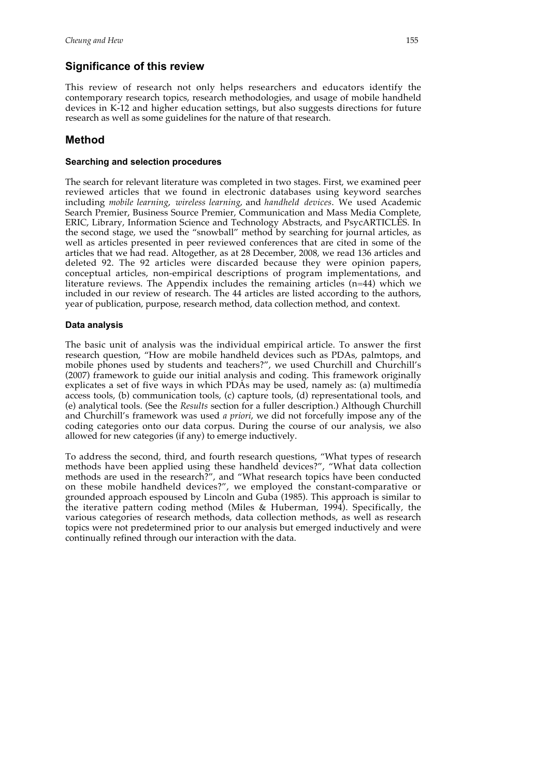# **Significance of this review**

This review of research not only helps researchers and educators identify the contemporary research topics, research methodologies, and usage of mobile handheld devices in K-12 and higher education settings, but also suggests directions for future research as well as some guidelines for the nature of that research.

# **Method**

# **Searching and selection procedures**

The search for relevant literature was completed in two stages. First, we examined peer reviewed articles that we found in electronic databases using keyword searches including *mobile learning*, *wireless learning*, and *handheld devices*. We used Academic Search Premier, Business Source Premier, Communication and Mass Media Complete, ERIC, Library, Information Science and Technology Abstracts, and PsycARTICLES. In the second stage, we used the "snowball" method by searching for journal articles, as well as articles presented in peer reviewed conferences that are cited in some of the articles that we had read. Altogether, as at 28 December, 2008, we read 136 articles and deleted 92. The 92 articles were discarded because they were opinion papers, conceptual articles, non-empirical descriptions of program implementations, and literature reviews. The Appendix includes the remaining articles (n=44) which we included in our review of research. The 44 articles are listed according to the authors, year of publication, purpose, research method, data collection method, and context.

# **Data analysis**

The basic unit of analysis was the individual empirical article. To answer the first research question, "How are mobile handheld devices such as PDAs, palmtops, and mobile phones used by students and teachers?", we used Churchill and Churchill's (2007) framework to guide our initial analysis and coding. This framework originally explicates a set of five ways in which PDAs may be used, namely as: (a) multimedia access tools, (b) communication tools, (c) capture tools, (d) representational tools, and (e) analytical tools. (See the *Results* section for a fuller description.) Although Churchill and Churchill's framework was used *a priori*, we did not forcefully impose any of the coding categories onto our data corpus. During the course of our analysis, we also allowed for new categories (if any) to emerge inductively.

To address the second, third, and fourth research questions, "What types of research methods have been applied using these handheld devices?", "What data collection methods are used in the research?", and "What research topics have been conducted on these mobile handheld devices?", we employed the constant-comparative or grounded approach espoused by Lincoln and Guba (1985). This approach is similar to the iterative pattern coding method (Miles & Huberman, 1994). Specifically, the various categories of research methods, data collection methods, as well as research topics were not predetermined prior to our analysis but emerged inductively and were continually refined through our interaction with the data.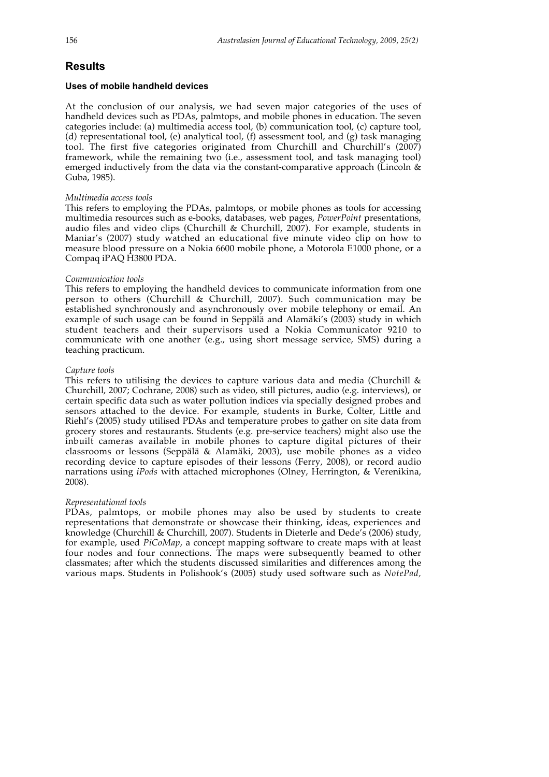# **Results**

#### **Uses of mobile handheld devices**

At the conclusion of our analysis, we had seven major categories of the uses of handheld devices such as PDAs, palmtops, and mobile phones in education. The seven categories include: (a) multimedia access tool, (b) communication tool, (c) capture tool, (d) representational tool, (e) analytical tool, (f) assessment tool, and (g) task managing tool. The first five categories originated from Churchill and Churchill's (2007) framework, while the remaining two (i.e., assessment tool, and task managing tool) emerged inductively from the data via the constant-comparative approach (Lincoln & Guba, 1985).

#### *Multimedia access tools*

This refers to employing the PDAs, palmtops, or mobile phones as tools for accessing multimedia resources such as e-books, databases, web pages, *PowerPoint* presentations, audio files and video clips (Churchill & Churchill, 2007). For example, students in Maniar's (2007) study watched an educational five minute video clip on how to measure blood pressure on a Nokia 6600 mobile phone, a Motorola E1000 phone, or a Compaq iPAQ H3800 PDA.

#### *Communication tools*

This refers to employing the handheld devices to communicate information from one person to others (Churchill & Churchill, 2007). Such communication may be established synchronously and asynchronously over mobile telephony or email. An example of such usage can be found in Seppälä and Alamäki's (2003) study in which student teachers and their supervisors used a Nokia Communicator 9210 to communicate with one another (e.g., using short message service, SMS) during a teaching practicum.

#### *Capture tools*

This refers to utilising the devices to capture various data and media (Churchill  $\&$ Churchill, 2007; Cochrane, 2008) such as video, still pictures, audio (e.g. interviews), or certain specific data such as water pollution indices via specially designed probes and sensors attached to the device. For example, students in Burke, Colter, Little and Riehl's (2005) study utilised PDAs and temperature probes to gather on site data from grocery stores and restaurants. Students (e.g. pre-service teachers) might also use the inbuilt cameras available in mobile phones to capture digital pictures of their classrooms or lessons (Seppälä & Alamäki, 2003), use mobile phones as a video recording device to capture episodes of their lessons (Ferry, 2008), or record audio narrations using *iPods* with attached microphones (Olney, Herrington, & Verenikina, 2008).

#### *Representational tools*

PDAs, palmtops, or mobile phones may also be used by students to create representations that demonstrate or showcase their thinking, ideas, experiences and knowledge (Churchill & Churchill, 2007). Students in Dieterle and Dede's (2006) study, for example, used *PiCoMap*, a concept mapping software to create maps with at least four nodes and four connections. The maps were subsequently beamed to other classmates; after which the students discussed similarities and differences among the various maps. Students in Polishook's (2005) study used software such as *NotePad,*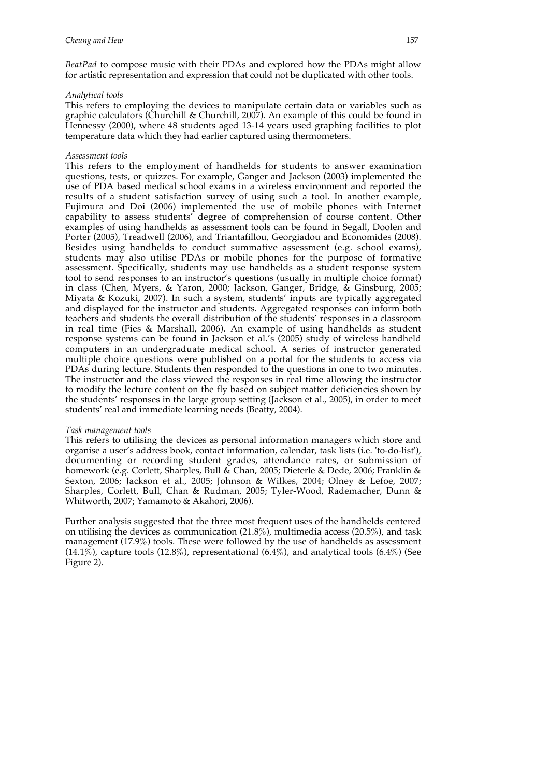*BeatPad* to compose music with their PDAs and explored how the PDAs might allow for artistic representation and expression that could not be duplicated with other tools.

#### *Analytical tools*

This refers to employing the devices to manipulate certain data or variables such as graphic calculators (Churchill & Churchill, 2007). An example of this could be found in Hennessy (2000), where 48 students aged 13-14 years used graphing facilities to plot temperature data which they had earlier captured using thermometers.

#### *Assessment tools*

This refers to the employment of handhelds for students to answer examination questions, tests, or quizzes. For example, Ganger and Jackson (2003) implemented the use of PDA based medical school exams in a wireless environment and reported the results of a student satisfaction survey of using such a tool. In another example, Fujimura and Doi (2006) implemented the use of mobile phones with Internet capability to assess students' degree of comprehension of course content. Other examples of using handhelds as assessment tools can be found in Segall, Doolen and Porter (2005), Treadwell (2006), and Triantafillou, Georgiadou and Economides (2008). Besides using handhelds to conduct summative assessment (e.g. school exams), students may also utilise PDAs or mobile phones for the purpose of formative assessment. Specifically, students may use handhelds as a student response system tool to send responses to an instructor's questions (usually in multiple choice format) in class (Chen, Myers, & Yaron, 2000; Jackson, Ganger, Bridge, & Ginsburg, 2005; Miyata & Kozuki, 2007). In such a system, students' inputs are typically aggregated and displayed for the instructor and students. Aggregated responses can inform both teachers and students the overall distribution of the students' responses in a classroom in real time (Fies & Marshall, 2006). An example of using handhelds as student response systems can be found in Jackson et al.'s (2005) study of wireless handheld computers in an undergraduate medical school. A series of instructor generated multiple choice questions were published on a portal for the students to access via PDAs during lecture. Students then responded to the questions in one to two minutes. The instructor and the class viewed the responses in real time allowing the instructor to modify the lecture content on the fly based on subject matter deficiencies shown by the students' responses in the large group setting (Jackson et al., 2005), in order to meet students' real and immediate learning needs (Beatty, 2004).

#### *Task management tools*

This refers to utilising the devices as personal information managers which store and organise a user's address book, contact information, calendar, task lists (i.e. 'to-do-list'), documenting or recording student grades, attendance rates, or submission of homework (e.g. Corlett, Sharples, Bull & Chan, 2005; Dieterle & Dede, 2006; Franklin & Sexton, 2006; Jackson et al., 2005; Johnson & Wilkes, 2004; Olney & Lefoe, 2007; Sharples, Corlett, Bull, Chan & Rudman, 2005; Tyler-Wood, Rademacher, Dunn & Whitworth, 2007; Yamamoto & Akahori, 2006).

Further analysis suggested that the three most frequent uses of the handhelds centered on utilising the devices as communication  $(21.8\%)$ , multimedia access  $(20.5\%)$ , and task management (17.9%) tools. These were followed by the use of handhelds as assessment  $(14.1\%)$ , capture tools  $(12.8\%)$ , representational  $(6.4\%)$ , and analytical tools  $(6.4\%)$  (See Figure 2).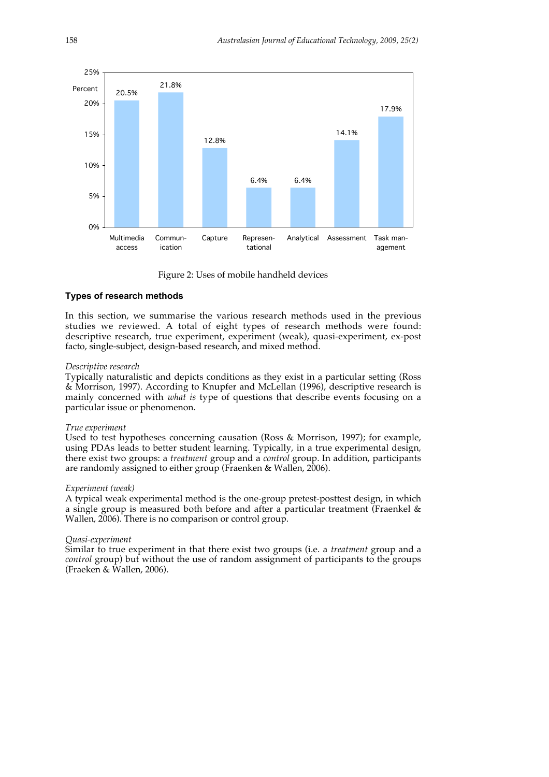

Figure 2: Uses of mobile handheld devices

#### **Types of research methods**

In this section, we summarise the various research methods used in the previous studies we reviewed. A total of eight types of research methods were found: descriptive research, true experiment, experiment (weak), quasi-experiment, ex-post facto, single-subject, design-based research, and mixed method.

#### *Descriptive research*

Typically naturalistic and depicts conditions as they exist in a particular setting (Ross & Morrison, 1997). According to Knupfer and McLellan (1996), descriptive research is mainly concerned with *what is* type of questions that describe events focusing on a particular issue or phenomenon.

#### *True experiment*

Used to test hypotheses concerning causation (Ross & Morrison, 1997); for example, using PDAs leads to better student learning. Typically, in a true experimental design, there exist two groups: a *treatment* group and a *control* group. In addition, participants are randomly assigned to either group (Fraenken & Wallen, 2006).

#### *Experiment (weak)*

A typical weak experimental method is the one-group pretest-posttest design, in which a single group is measured both before and after a particular treatment (Fraenkel & Wallen, 2006). There is no comparison or control group.

#### *Quasi-experiment*

Similar to true experiment in that there exist two groups (i.e. a *treatment* group and a *control* group) but without the use of random assignment of participants to the groups (Fraeken & Wallen, 2006).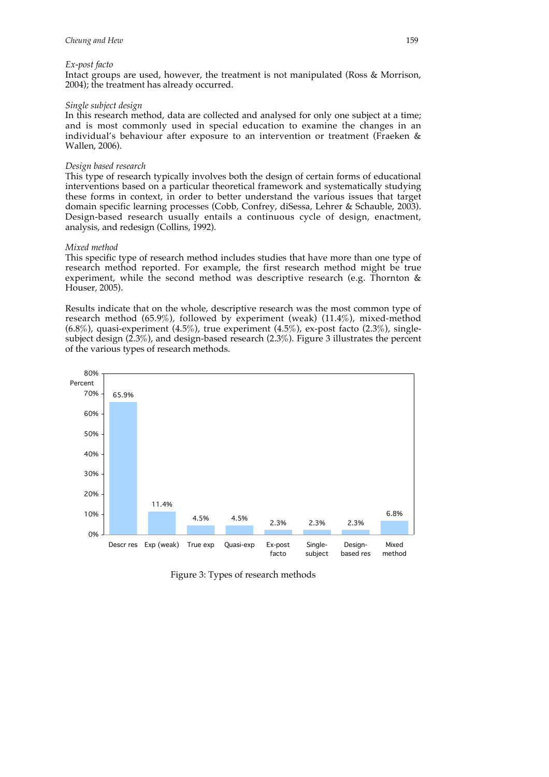#### *Ex-post facto*

Intact groups are used, however, the treatment is not manipulated (Ross & Morrison, 2004); the treatment has already occurred.

#### *Single subject design*

In this research method, data are collected and analysed for only one subject at a time; and is most commonly used in special education to examine the changes in an individual's behaviour after exposure to an intervention or treatment (Fraeken & Wallen, 2006).

#### *Design based research*

This type of research typically involves both the design of certain forms of educational interventions based on a particular theoretical framework and systematically studying these forms in context, in order to better understand the various issues that target domain specific learning processes (Cobb, Confrey, diSessa, Lehrer & Schauble, 2003). Design-based research usually entails a continuous cycle of design, enactment, analysis, and redesign (Collins, 1992).

#### *Mixed method*

This specific type of research method includes studies that have more than one type of research method reported. For example, the first research method might be true experiment, while the second method was descriptive research (e.g. Thornton & Houser, 2005).

Results indicate that on the whole, descriptive research was the most common type of research method (65.9%), followed by experiment (weak) (11.4%), mixed-method  $(6.8\%)$ , quasi-experiment  $(4.5\%)$ , true experiment  $(4.5\%)$ , ex-post facto  $(2.3\%)$ , singlesubject design (2.3%), and design-based research (2.3%). Figure 3 illustrates the percent of the various types of research methods.



Figure 3: Types of research methods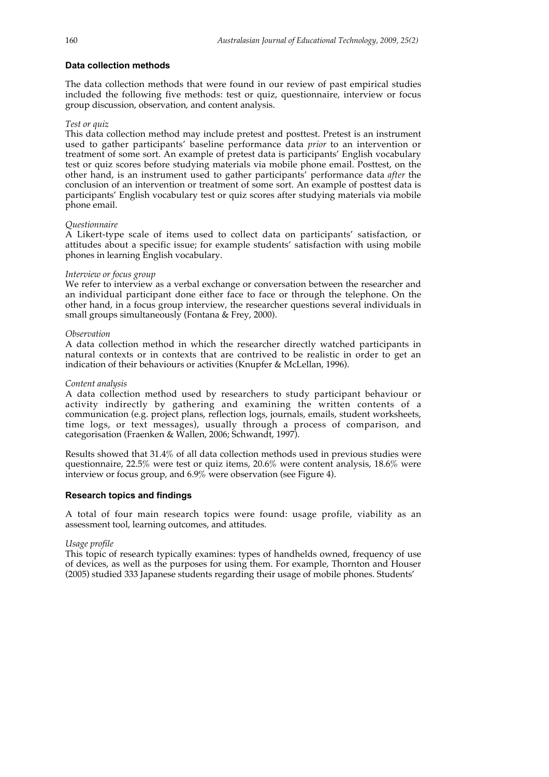#### **Data collection methods**

The data collection methods that were found in our review of past empirical studies included the following five methods: test or quiz, questionnaire, interview or focus group discussion, observation, and content analysis.

#### *Test or quiz*

This data collection method may include pretest and posttest. Pretest is an instrument used to gather participants' baseline performance data *prior* to an intervention or treatment of some sort. An example of pretest data is participants' English vocabulary test or quiz scores before studying materials via mobile phone email. Posttest, on the other hand, is an instrument used to gather participants' performance data *after* the conclusion of an intervention or treatment of some sort. An example of posttest data is participants' English vocabulary test or quiz scores after studying materials via mobile phone email.

#### *Questionnaire*

A Likert-type scale of items used to collect data on participants' satisfaction, or attitudes about a specific issue; for example students' satisfaction with using mobile phones in learning English vocabulary.

### *Interview or focus group*

We refer to interview as a verbal exchange or conversation between the researcher and an individual participant done either face to face or through the telephone. On the other hand, in a focus group interview, the researcher questions several individuals in small groups simultaneously (Fontana & Frey, 2000).

### *Observation*

A data collection method in which the researcher directly watched participants in natural contexts or in contexts that are contrived to be realistic in order to get an indication of their behaviours or activities (Knupfer & McLellan, 1996).

### *Content analysis*

A data collection method used by researchers to study participant behaviour or activity indirectly by gathering and examining the written contents of a communication (e.g. project plans, reflection logs, journals, emails, student worksheets, time logs, or text messages), usually through a process of comparison, and categorisation (Fraenken & Wallen, 2006; Schwandt, 1997).

Results showed that 31.4% of all data collection methods used in previous studies were questionnaire, 22.5% were test or quiz items, 20.6% were content analysis, 18.6% were interview or focus group, and 6.9% were observation (see Figure 4).

# **Research topics and findings**

A total of four main research topics were found: usage profile, viability as an assessment tool, learning outcomes, and attitudes.

#### *Usage profile*

This topic of research typically examines: types of handhelds owned, frequency of use of devices, as well as the purposes for using them. For example, Thornton and Houser (2005) studied 333 Japanese students regarding their usage of mobile phones. Students'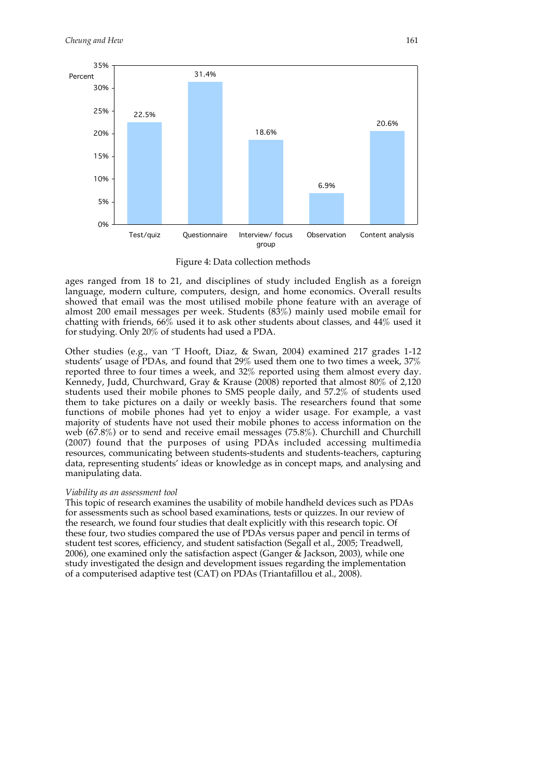

Figure 4: Data collection methods

ages ranged from 18 to 21, and disciplines of study included English as a foreign language, modern culture, computers, design, and home economics. Overall results showed that email was the most utilised mobile phone feature with an average of almost 200 email messages per week. Students (83%) mainly used mobile email for chatting with friends, 66% used it to ask other students about classes, and 44% used it for studying. Only 20% of students had used a PDA.

Other studies (e.g., van 'T Hooft, Diaz, & Swan, 2004) examined 217 grades 1-12 students' usage of PDAs, and found that 29% used them one to two times a week, 37% reported three to four times a week, and 32% reported using them almost every day. Kennedy, Judd, Churchward, Gray & Krause (2008) reported that almost 80% of 2,120 students used their mobile phones to SMS people daily, and 57.2% of students used them to take pictures on a daily or weekly basis. The researchers found that some functions of mobile phones had yet to enjoy a wider usage. For example, a vast majority of students have not used their mobile phones to access information on the web (67.8%) or to send and receive email messages (75.8%). Churchill and Churchill (2007) found that the purposes of using PDAs included accessing multimedia resources, communicating between students-students and students-teachers, capturing data, representing students' ideas or knowledge as in concept maps, and analysing and manipulating data.

#### *Viability as an assessment tool*

This topic of research examines the usability of mobile handheld devices such as PDAs for assessments such as school based examinations, tests or quizzes. In our review of the research, we found four studies that dealt explicitly with this research topic. Of these four, two studies compared the use of PDAs versus paper and pencil in terms of student test scores, efficiency, and student satisfaction (Segall et al., 2005; Treadwell, 2006), one examined only the satisfaction aspect (Ganger & Jackson, 2003), while one study investigated the design and development issues regarding the implementation of a computerised adaptive test (CAT) on PDAs (Triantafillou et al., 2008).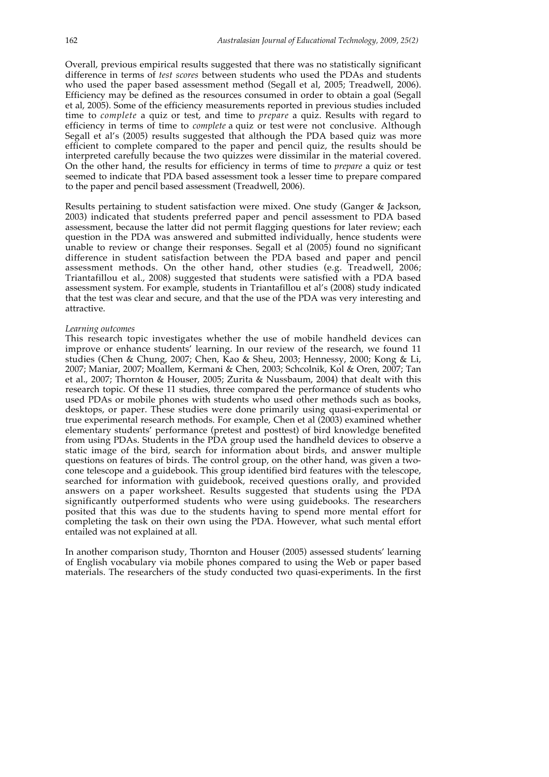Overall, previous empirical results suggested that there was no statistically significant difference in terms of *test scores* between students who used the PDAs and students who used the paper based assessment method (Segall et al, 2005; Treadwell, 2006). Efficiency may be defined as the resources consumed in order to obtain a goal (Segall et al, 2005). Some of the efficiency measurements reported in previous studies included time to *complete* a quiz or test, and time to *prepare* a quiz. Results with regard to efficiency in terms of time to *complete* a quiz or test were not conclusive. Although Segall et al's (2005) results suggested that although the PDA based quiz was more efficient to complete compared to the paper and pencil quiz, the results should be interpreted carefully because the two quizzes were dissimilar in the material covered. On the other hand, the results for efficiency in terms of time to *prepare* a quiz or test seemed to indicate that PDA based assessment took a lesser time to prepare compared to the paper and pencil based assessment (Treadwell, 2006).

Results pertaining to student satisfaction were mixed. One study (Ganger & Jackson, 2003) indicated that students preferred paper and pencil assessment to PDA based assessment, because the latter did not permit flagging questions for later review; each question in the PDA was answered and submitted individually, hence students were unable to review or change their responses. Segall et al (2005) found no significant difference in student satisfaction between the PDA based and paper and pencil assessment methods. On the other hand, other studies (e.g. Treadwell, 2006; Triantafillou et al., 2008) suggested that students were satisfied with a PDA based assessment system. For example, students in Triantafillou et al's (2008) study indicated that the test was clear and secure, and that the use of the PDA was very interesting and attractive.

#### *Learning outcomes*

This research topic investigates whether the use of mobile handheld devices can improve or enhance students' learning. In our review of the research, we found 11 studies (Chen & Chung, 2007; Chen, Kao & Sheu, 2003; Hennessy, 2000; Kong & Li, 2007; Maniar, 2007; Moallem, Kermani & Chen, 2003; Schcolnik, Kol & Oren, 2007; Tan et al., 2007; Thornton & Houser, 2005; Zurita & Nussbaum, 2004) that dealt with this research topic. Of these 11 studies, three compared the performance of students who used PDAs or mobile phones with students who used other methods such as books, desktops, or paper. These studies were done primarily using quasi-experimental or true experimental research methods. For example, Chen et al (2003) examined whether elementary students' performance (pretest and posttest) of bird knowledge benefited from using PDAs. Students in the PDA group used the handheld devices to observe a static image of the bird, search for information about birds, and answer multiple questions on features of birds. The control group, on the other hand, was given a twocone telescope and a guidebook. This group identified bird features with the telescope, searched for information with guidebook, received questions orally, and provided answers on a paper worksheet. Results suggested that students using the PDA significantly outperformed students who were using guidebooks. The researchers posited that this was due to the students having to spend more mental effort for completing the task on their own using the PDA. However, what such mental effort entailed was not explained at all.

In another comparison study, Thornton and Houser (2005) assessed students' learning of English vocabulary via mobile phones compared to using the Web or paper based materials. The researchers of the study conducted two quasi-experiments. In the first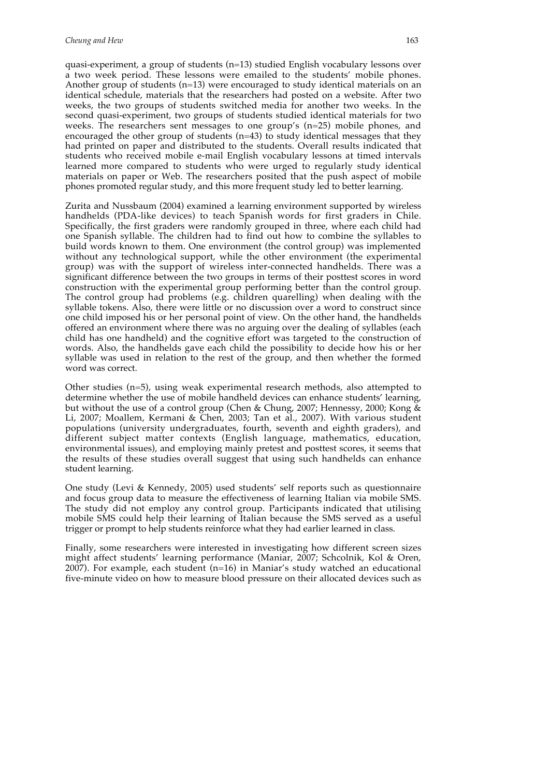quasi-experiment, a group of students (n=13) studied English vocabulary lessons over a two week period. These lessons were emailed to the students' mobile phones. Another group of students (n=13) were encouraged to study identical materials on an identical schedule, materials that the researchers had posted on a website. After two weeks, the two groups of students switched media for another two weeks. In the second quasi-experiment, two groups of students studied identical materials for two weeks. The researchers sent messages to one group's (n=25) mobile phones, and encouraged the other group of students (n=43) to study identical messages that they had printed on paper and distributed to the students. Overall results indicated that students who received mobile e-mail English vocabulary lessons at timed intervals learned more compared to students who were urged to regularly study identical materials on paper or Web. The researchers posited that the push aspect of mobile phones promoted regular study, and this more frequent study led to better learning.

Zurita and Nussbaum (2004) examined a learning environment supported by wireless handhelds (PDA-like devices) to teach Spanish words for first graders in Chile. Specifically, the first graders were randomly grouped in three, where each child had one Spanish syllable. The children had to find out how to combine the syllables to build words known to them. One environment (the control group) was implemented without any technological support, while the other environment (the experimental group) was with the support of wireless inter-connected handhelds. There was a significant difference between the two groups in terms of their posttest scores in word construction with the experimental group performing better than the control group. The control group had problems (e.g. children quarelling) when dealing with the syllable tokens. Also, there were little or no discussion over a word to construct since one child imposed his or her personal point of view. On the other hand, the handhelds offered an environment where there was no arguing over the dealing of syllables (each child has one handheld) and the cognitive effort was targeted to the construction of words. Also, the handhelds gave each child the possibility to decide how his or her syllable was used in relation to the rest of the group, and then whether the formed word was correct.

Other studies (n=5), using weak experimental research methods, also attempted to determine whether the use of mobile handheld devices can enhance students' learning, but without the use of a control group (Chen & Chung, 2007; Hennessy, 2000; Kong & Li, 2007; Moallem, Kermani & Chen, 2003; Tan et al., 2007). With various student populations (university undergraduates, fourth, seventh and eighth graders), and different subject matter contexts (English language, mathematics, education, environmental issues), and employing mainly pretest and posttest scores, it seems that the results of these studies overall suggest that using such handhelds can enhance student learning.

One study (Levi & Kennedy, 2005) used students' self reports such as questionnaire and focus group data to measure the effectiveness of learning Italian via mobile SMS. The study did not employ any control group. Participants indicated that utilising mobile SMS could help their learning of Italian because the SMS served as a useful trigger or prompt to help students reinforce what they had earlier learned in class.

Finally, some researchers were interested in investigating how different screen sizes might affect students' learning performance (Maniar, 2007; Schcolnik, Kol & Oren, 2007). For example, each student (n=16) in Maniar's study watched an educational five-minute video on how to measure blood pressure on their allocated devices such as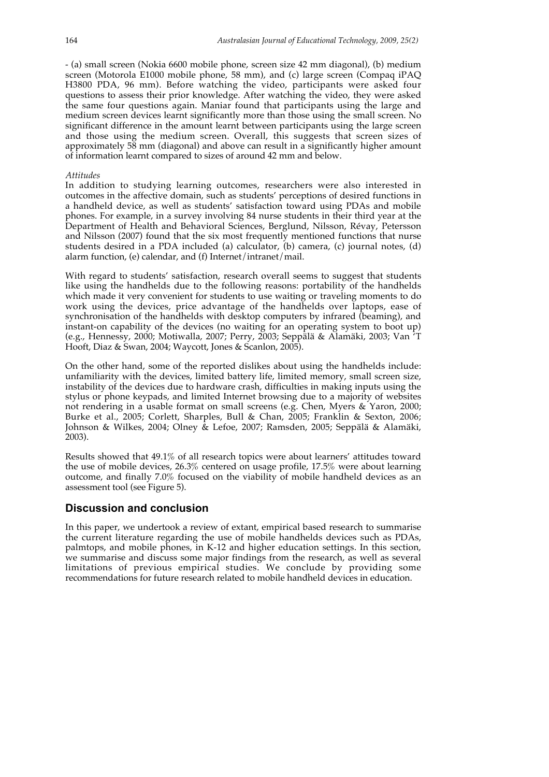- (a) small screen (Nokia 6600 mobile phone, screen size 42 mm diagonal), (b) medium screen (Motorola E1000 mobile phone, 58 mm), and (c) large screen (Compaq iPAQ H3800 PDA, 96 mm). Before watching the video, participants were asked four questions to assess their prior knowledge. After watching the video, they were asked the same four questions again. Maniar found that participants using the large and medium screen devices learnt significantly more than those using the small screen. No significant difference in the amount learnt between participants using the large screen and those using the medium screen. Overall, this suggests that screen sizes of approximately 58 mm (diagonal) and above can result in a significantly higher amount of information learnt compared to sizes of around 42 mm and below.

#### *Attitudes*

In addition to studying learning outcomes, researchers were also interested in outcomes in the affective domain, such as students' perceptions of desired functions in a handheld device, as well as students' satisfaction toward using PDAs and mobile phones. For example, in a survey involving 84 nurse students in their third year at the Department of Health and Behavioral Sciences, Berglund, Nilsson, Révay, Petersson and Nilsson (2007) found that the six most frequently mentioned functions that nurse students desired in a PDA included (a) calculator, (b) camera, (c) journal notes, (d) alarm function, (e) calendar, and (f) Internet/intranet/mail.

With regard to students' satisfaction, research overall seems to suggest that students like using the handhelds due to the following reasons: portability of the handhelds which made it very convenient for students to use waiting or traveling moments to do work using the devices, price advantage of the handhelds over laptops, ease of synchronisation of the handhelds with desktop computers by infrared (beaming), and instant-on capability of the devices (no waiting for an operating system to boot up) (e.g., Hennessy, 2000; Motiwalla, 2007; Perry, 2003; Seppälä & Alamäki, 2003; Van 'T Hooft, Diaz & Swan, 2004; Waycott, Jones & Scanlon, 2005).

On the other hand, some of the reported dislikes about using the handhelds include: unfamiliarity with the devices, limited battery life, limited memory, small screen size, instability of the devices due to hardware crash, difficulties in making inputs using the stylus or phone keypads, and limited Internet browsing due to a majority of websites not rendering in a usable format on small screens (e.g. Chen, Myers & Yaron, 2000; Burke et al., 2005; Corlett, Sharples, Bull & Chan, 2005; Franklin & Sexton, 2006; Johnson & Wilkes, 2004; Olney & Lefoe, 2007; Ramsden, 2005; Seppälä & Alamäki, 2003).

Results showed that 49.1% of all research topics were about learners' attitudes toward the use of mobile devices, 26.3% centered on usage profile, 17.5% were about learning outcome, and finally 7.0% focused on the viability of mobile handheld devices as an assessment tool (see Figure 5).

# **Discussion and conclusion**

In this paper, we undertook a review of extant, empirical based research to summarise the current literature regarding the use of mobile handhelds devices such as PDAs, palmtops, and mobile phones, in K-12 and higher education settings. In this section, we summarise and discuss some major findings from the research, as well as several limitations of previous empirical studies. We conclude by providing some recommendations for future research related to mobile handheld devices in education.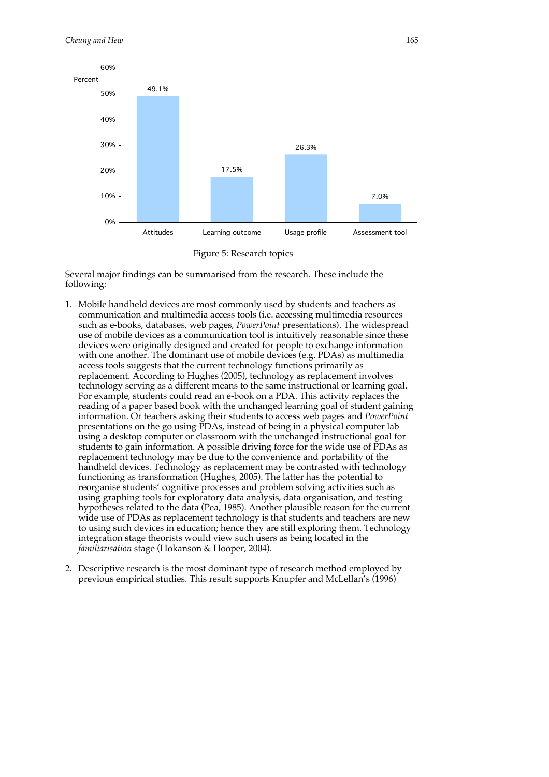



Several major findings can be summarised from the research. These include the following:

- 1. Mobile handheld devices are most commonly used by students and teachers as communication and multimedia access tools (i.e. accessing multimedia resources such as e-books, databases, web pages, *PowerPoint* presentations). The widespread use of mobile devices as a communication tool is intuitively reasonable since these devices were originally designed and created for people to exchange information with one another. The dominant use of mobile devices (e.g. PDAs) as multimedia access tools suggests that the current technology functions primarily as replacement. According to Hughes (2005), technology as replacement involves technology serving as a different means to the same instructional or learning goal. For example, students could read an e-book on a PDA. This activity replaces the reading of a paper based book with the unchanged learning goal of student gaining information. Or teachers asking their students to access web pages and *PowerPoint* presentations on the go using PDAs, instead of being in a physical computer lab using a desktop computer or classroom with the unchanged instructional goal for students to gain information. A possible driving force for the wide use of PDAs as replacement technology may be due to the convenience and portability of the handheld devices. Technology as replacement may be contrasted with technology functioning as transformation (Hughes, 2005). The latter has the potential to reorganise students' cognitive processes and problem solving activities such as using graphing tools for exploratory data analysis, data organisation, and testing hypotheses related to the data (Pea, 1985). Another plausible reason for the current wide use of PDAs as replacement technology is that students and teachers are new to using such devices in education; hence they are still exploring them. Technology integration stage theorists would view such users as being located in the *familiarisation* stage (Hokanson & Hooper, 2004).
- 2. Descriptive research is the most dominant type of research method employed by previous empirical studies. This result supports Knupfer and McLellan's (1996)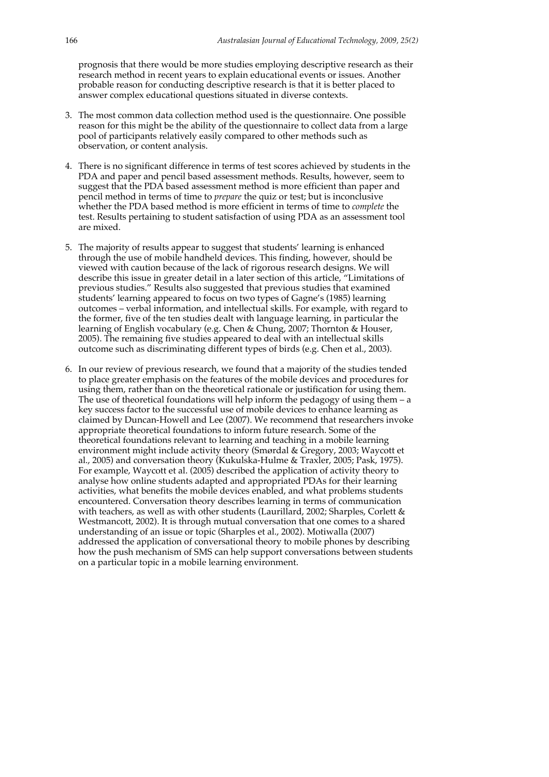prognosis that there would be more studies employing descriptive research as their research method in recent years to explain educational events or issues. Another probable reason for conducting descriptive research is that it is better placed to answer complex educational questions situated in diverse contexts.

- 3. The most common data collection method used is the questionnaire. One possible reason for this might be the ability of the questionnaire to collect data from a large pool of participants relatively easily compared to other methods such as observation, or content analysis.
- 4. There is no significant difference in terms of test scores achieved by students in the PDA and paper and pencil based assessment methods. Results, however, seem to suggest that the PDA based assessment method is more efficient than paper and pencil method in terms of time to *prepare* the quiz or test; but is inconclusive whether the PDA based method is more efficient in terms of time to *complete* the test. Results pertaining to student satisfaction of using PDA as an assessment tool are mixed.
- 5. The majority of results appear to suggest that students' learning is enhanced through the use of mobile handheld devices. This finding, however, should be viewed with caution because of the lack of rigorous research designs. We will describe this issue in greater detail in a later section of this article, "Limitations of previous studies." Results also suggested that previous studies that examined students' learning appeared to focus on two types of Gagne's (1985) learning outcomes – verbal information, and intellectual skills. For example, with regard to the former, five of the ten studies dealt with language learning, in particular the learning of English vocabulary (e.g. Chen & Chung, 2007; Thornton & Houser, 2005). The remaining five studies appeared to deal with an intellectual skills outcome such as discriminating different types of birds (e.g. Chen et al., 2003).
- 6. In our review of previous research, we found that a majority of the studies tended to place greater emphasis on the features of the mobile devices and procedures for using them, rather than on the theoretical rationale or justification for using them. The use of theoretical foundations will help inform the pedagogy of using them – a key success factor to the successful use of mobile devices to enhance learning as claimed by Duncan-Howell and Lee (2007). We recommend that researchers invoke appropriate theoretical foundations to inform future research. Some of the theoretical foundations relevant to learning and teaching in a mobile learning environment might include activity theory (Smørdal & Gregory, 2003; Waycott et al., 2005) and conversation theory (Kukulska-Hulme & Traxler, 2005; Pask, 1975). For example, Waycott et al. (2005) described the application of activity theory to analyse how online students adapted and appropriated PDAs for their learning activities, what benefits the mobile devices enabled, and what problems students encountered. Conversation theory describes learning in terms of communication with teachers, as well as with other students (Laurillard, 2002; Sharples, Corlett & Westmancott, 2002). It is through mutual conversation that one comes to a shared understanding of an issue or topic (Sharples et al., 2002). Motiwalla (2007) addressed the application of conversational theory to mobile phones by describing how the push mechanism of SMS can help support conversations between students on a particular topic in a mobile learning environment.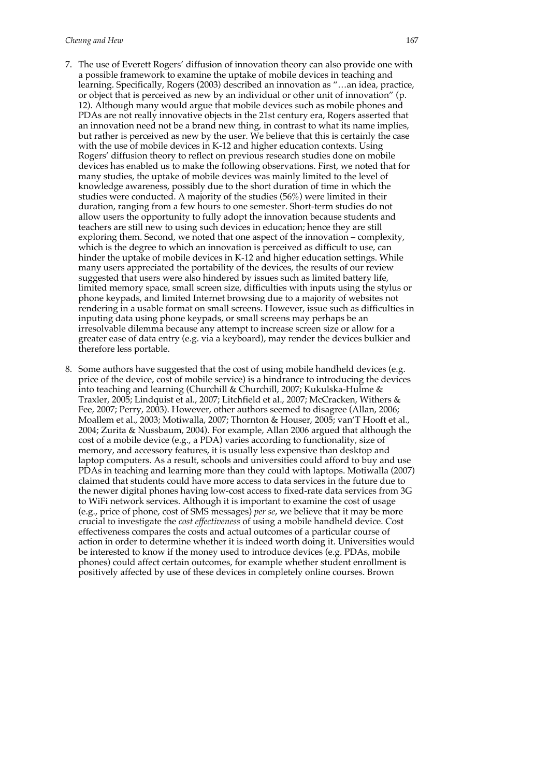- 7. The use of Everett Rogers' diffusion of innovation theory can also provide one with a possible framework to examine the uptake of mobile devices in teaching and learning. Specifically, Rogers (2003) described an innovation as "…an idea, practice, or object that is perceived as new by an individual or other unit of innovation" (p. 12). Although many would argue that mobile devices such as mobile phones and PDAs are not really innovative objects in the 21st century era, Rogers asserted that an innovation need not be a brand new thing, in contrast to what its name implies, but rather is perceived as new by the user. We believe that this is certainly the case with the use of mobile devices in K-12 and higher education contexts. Using Rogers' diffusion theory to reflect on previous research studies done on mobile devices has enabled us to make the following observations. First, we noted that for many studies, the uptake of mobile devices was mainly limited to the level of knowledge awareness, possibly due to the short duration of time in which the studies were conducted. A majority of the studies (56%) were limited in their duration, ranging from a few hours to one semester. Short-term studies do not allow users the opportunity to fully adopt the innovation because students and teachers are still new to using such devices in education; hence they are still exploring them. Second, we noted that one aspect of the innovation – complexity, which is the degree to which an innovation is perceived as difficult to use, can hinder the uptake of mobile devices in K-12 and higher education settings. While many users appreciated the portability of the devices, the results of our review suggested that users were also hindered by issues such as limited battery life, limited memory space, small screen size, difficulties with inputs using the stylus or phone keypads, and limited Internet browsing due to a majority of websites not rendering in a usable format on small screens. However, issue such as difficulties in inputing data using phone keypads, or small screens may perhaps be an irresolvable dilemma because any attempt to increase screen size or allow for a greater ease of data entry (e.g. via a keyboard), may render the devices bulkier and therefore less portable.
- 8. Some authors have suggested that the cost of using mobile handheld devices (e.g. price of the device, cost of mobile service) is a hindrance to introducing the devices into teaching and learning (Churchill & Churchill, 2007; Kukulska-Hulme & Traxler, 2005; Lindquist et al., 2007; Litchfield et al., 2007; McCracken, Withers & Fee, 2007; Perry, 2003). However, other authors seemed to disagree (Allan, 2006; Moallem et al., 2003; Motiwalla, 2007; Thornton & Houser, 2005; van'T Hooft et al., 2004; Zurita & Nussbaum, 2004). For example, Allan 2006 argued that although the cost of a mobile device (e.g., a PDA) varies according to functionality, size of memory, and accessory features, it is usually less expensive than desktop and laptop computers. As a result, schools and universities could afford to buy and use PDAs in teaching and learning more than they could with laptops. Motiwalla (2007) claimed that students could have more access to data services in the future due to the newer digital phones having low-cost access to fixed-rate data services from 3G to WiFi network services. Although it is important to examine the cost of usage (e.g., price of phone, cost of SMS messages) *per se*, we believe that it may be more crucial to investigate the *cost effectiveness* of using a mobile handheld device. Cost effectiveness compares the costs and actual outcomes of a particular course of action in order to determine whether it is indeed worth doing it. Universities would be interested to know if the money used to introduce devices (e.g. PDAs, mobile phones) could affect certain outcomes, for example whether student enrollment is positively affected by use of these devices in completely online courses. Brown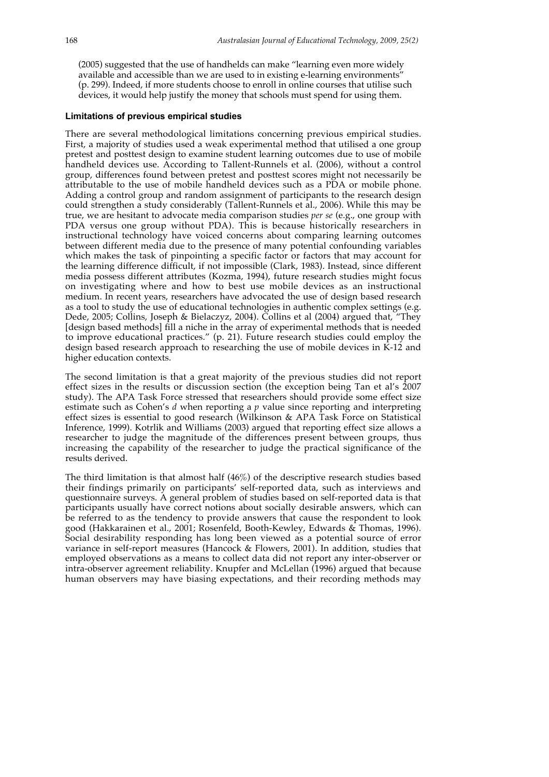(2005) suggested that the use of handhelds can make "learning even more widely available and accessible than we are used to in existing e-learning environments" (p. 299). Indeed, if more students choose to enroll in online courses that utilise such devices, it would help justify the money that schools must spend for using them.

### **Limitations of previous empirical studies**

There are several methodological limitations concerning previous empirical studies. First, a majority of studies used a weak experimental method that utilised a one group pretest and posttest design to examine student learning outcomes due to use of mobile handheld devices use. According to Tallent-Runnels et al. (2006), without a control group, differences found between pretest and posttest scores might not necessarily be attributable to the use of mobile handheld devices such as a PDA or mobile phone. Adding a control group and random assignment of participants to the research design could strengthen a study considerably (Tallent-Runnels et al., 2006). While this may be true, we are hesitant to advocate media comparison studies *per se* (e.g., one group with PDA versus one group without PDA). This is because historically researchers in instructional technology have voiced concerns about comparing learning outcomes between different media due to the presence of many potential confounding variables which makes the task of pinpointing a specific factor or factors that may account for the learning difference difficult, if not impossible (Clark, 1983). Instead, since different media possess different attributes (Kozma, 1994), future research studies might focus on investigating where and how to best use mobile devices as an instructional medium. In recent years, researchers have advocated the use of design based research as a tool to study the use of educational technologies in authentic complex settings (e.g. Dede, 2005; Collins, Joseph & Bielaczyz, 2004). Collins et al (2004) argued that, "They [design based methods] fill a niche in the array of experimental methods that is needed to improve educational practices." (p. 21). Future research studies could employ the design based research approach to researching the use of mobile devices in  $\hat{K}$ -12 and higher education contexts.

The second limitation is that a great majority of the previous studies did not report effect sizes in the results or discussion section (the exception being Tan et al's 2007 study). The APA Task Force stressed that researchers should provide some effect size estimate such as Cohen's *d* when reporting a *p* value since reporting and interpreting effect sizes is essential to good research (Wilkinson & APA Task Force on Statistical Inference, 1999). Kotrlik and Williams (2003) argued that reporting effect size allows a researcher to judge the magnitude of the differences present between groups, thus increasing the capability of the researcher to judge the practical significance of the results derived.

The third limitation is that almost half (46%) of the descriptive research studies based their findings primarily on participants' self-reported data, such as interviews and questionnaire surveys. A general problem of studies based on self-reported data is that participants usually have correct notions about socially desirable answers, which can be referred to as the tendency to provide answers that cause the respondent to look good (Hakkarainen et al., 2001; Rosenfeld, Booth-Kewley, Edwards & Thomas, 1996). Social desirability responding has long been viewed as a potential source of error variance in self-report measures (Hancock & Flowers, 2001). In addition, studies that employed observations as a means to collect data did not report any inter-observer or intra-observer agreement reliability. Knupfer and McLellan (1996) argued that because human observers may have biasing expectations, and their recording methods may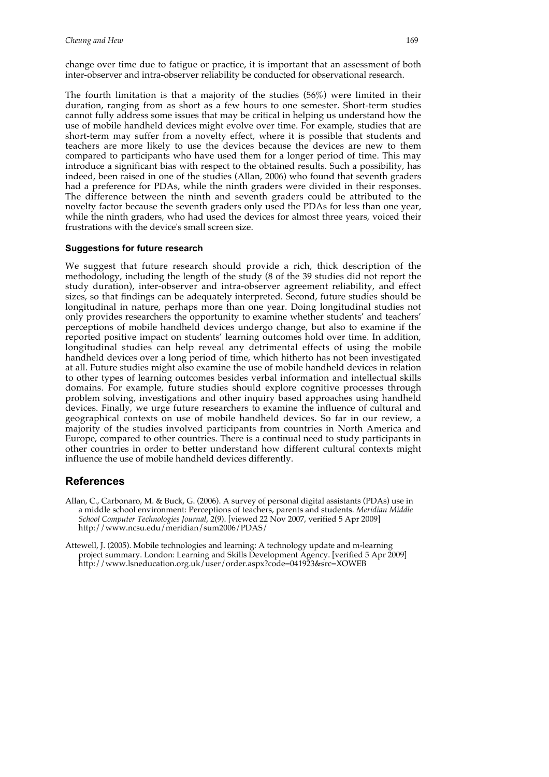change over time due to fatigue or practice, it is important that an assessment of both inter-observer and intra-observer reliability be conducted for observational research.

The fourth limitation is that a majority of the studies (56%) were limited in their duration, ranging from as short as a few hours to one semester. Short-term studies cannot fully address some issues that may be critical in helping us understand how the use of mobile handheld devices might evolve over time. For example, studies that are short-term may suffer from a novelty effect, where it is possible that students and teachers are more likely to use the devices because the devices are new to them compared to participants who have used them for a longer period of time. This may introduce a significant bias with respect to the obtained results. Such a possibility, has indeed, been raised in one of the studies (Allan, 2006) who found that seventh graders had a preference for PDAs, while the ninth graders were divided in their responses. The difference between the ninth and seventh graders could be attributed to the novelty factor because the seventh graders only used the PDAs for less than one year, while the ninth graders, who had used the devices for almost three years, voiced their frustrations with the device's small screen size.

# **Suggestions for future research**

We suggest that future research should provide a rich, thick description of the methodology, including the length of the study (8 of the 39 studies did not report the study duration), inter-observer and intra-observer agreement reliability, and effect sizes, so that findings can be adequately interpreted. Second, future studies should be longitudinal in nature, perhaps more than one year. Doing longitudinal studies not only provides researchers the opportunity to examine whether students' and teachers' perceptions of mobile handheld devices undergo change, but also to examine if the reported positive impact on students' learning outcomes hold over time. In addition, longitudinal studies can help reveal any detrimental effects of using the mobile handheld devices over a long period of time, which hitherto has not been investigated at all. Future studies might also examine the use of mobile handheld devices in relation to other types of learning outcomes besides verbal information and intellectual skills domains. For example, future studies should explore cognitive processes through problem solving, investigations and other inquiry based approaches using handheld devices. Finally, we urge future researchers to examine the influence of cultural and geographical contexts on use of mobile handheld devices. So far in our review, a majority of the studies involved participants from countries in North America and Europe, compared to other countries. There is a continual need to study participants in other countries in order to better understand how different cultural contexts might influence the use of mobile handheld devices differently.

# **References**

- Allan, C., Carbonaro, M. & Buck, G. (2006). A survey of personal digital assistants (PDAs) use in a middle school environment: Perceptions of teachers, parents and students. *Meridian Middle School Computer Technologies Journal*, 2(9). [viewed 22 Nov 2007, verified 5 Apr 2009] http://www.ncsu.edu/meridian/sum2006/PDAS/
- Attewell, J. (2005). Mobile technologies and learning: A technology update and m-learning project summary. London: Learning and Skills Development Agency. [verified 5 Apr 2009] http://www.lsneducation.org.uk/user/order.aspx?code=041923&src=XOWEB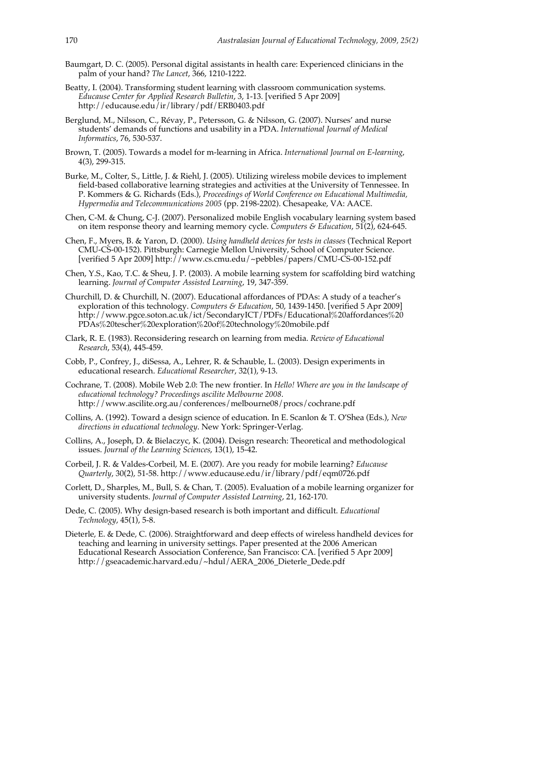- Baumgart, D. C. (2005). Personal digital assistants in health care: Experienced clinicians in the palm of your hand? *The Lancet*, 366, 1210-1222.
- Beatty, I. (2004). Transforming student learning with classroom communication systems. *Educause Center for Applied Research Bulletin*, 3, 1-13. [verified 5 Apr 2009] http://educause.edu/ir/library/pdf/ERB0403.pdf
- Berglund, M., Nilsson, C., Révay, P., Petersson, G. & Nilsson, G. (2007). Nurses' and nurse students' demands of functions and usability in a PDA. *International Journal of Medical Informatics*, 76, 530-537.
- Brown, T. (2005). Towards a model for m-learning in Africa. *International Journal on E-learning*, 4(3), 299-315.
- Burke, M., Colter, S., Little, J. & Riehl, J. (2005). Utilizing wireless mobile devices to implement field-based collaborative learning strategies and activities at the University of Tennessee. In P. Kommers & G. Richards (Eds.), *Proceedings of World Conference on Educational Multimedia, Hypermedia and Telecommunications 2005* (pp. 2198-2202). Chesapeake, VA: AACE.
- Chen, C-M. & Chung, C-J. (2007). Personalized mobile English vocabulary learning system based on item response theory and learning memory cycle. *Computers & Education*, 51(2), 624-645.
- Chen, F., Myers, B. & Yaron, D. (2000). *Using handheld devices for tests in classes* (Technical Report CMU-CS-00-152). Pittsburgh: Carnegie Mellon University, School of Computer Science. [verified 5 Apr 2009] http://www.cs.cmu.edu/~pebbles/papers/CMU-CS-00-152.pdf
- Chen, Y.S., Kao, T.C. & Sheu, J. P. (2003). A mobile learning system for scaffolding bird watching learning. *Journal of Computer Assisted Learning*, 19, 347-359.
- Churchill, D. & Churchill, N. (2007). Educational affordances of PDAs: A study of a teacher's exploration of this technology. *Computers & Education*, 50, 1439-1450. [verified 5 Apr 2009] http://www.pgce.soton.ac.uk/ict/SecondaryICT/PDFs/Educational%20affordances%20 PDAs%20tescher%20exploration%20of%20technology%20mobile.pdf
- Clark, R. E. (1983). Reconsidering research on learning from media. *Review of Educational Research*, 53(4), 445-459.
- Cobb, P., Confrey, J., diSessa, A., Lehrer, R. & Schauble, L. (2003). Design experiments in educational research. *Educational Researcher*, 32(1), 9-13.
- Cochrane, T. (2008). Mobile Web 2.0: The new frontier. In *Hello! Where are you in the landscape of educational technology? Proceedings ascilite Melbourne 2008*. http://www.ascilite.org.au/conferences/melbourne08/procs/cochrane.pdf
- Collins, A. (1992). Toward a design science of education. In E. Scanlon & T. O'Shea (Eds.), *New directions in educational technology*. New York: Springer-Verlag.
- Collins, A., Joseph, D. & Bielaczyc, K. (2004). Deisgn research: Theoretical and methodological issues. *Journal of the Learning Sciences*, 13(1), 15-42.
- Corbeil, J. R. & Valdes-Corbeil, M. E. (2007). Are you ready for mobile learning? *Educause Quarterly*, 30(2), 51-58. http://www.educause.edu/ir/library/pdf/eqm0726.pdf
- Corlett, D., Sharples, M., Bull, S. & Chan, T. (2005). Evaluation of a mobile learning organizer for university students. *Journal of Computer Assisted Learning*, 21, 162-170.
- Dede, C. (2005). Why design-based research is both important and difficult. *Educational Technology*, 45(1), 5-8.
- Dieterle, E. & Dede, C. (2006). Straightforward and deep effects of wireless handheld devices for teaching and learning in university settings. Paper presented at the 2006 American Educational Research Association Conference, San Francisco: CA. [verified 5 Apr 2009] http://gseacademic.harvard.edu/~hdul/AERA\_2006\_Dieterle\_Dede.pdf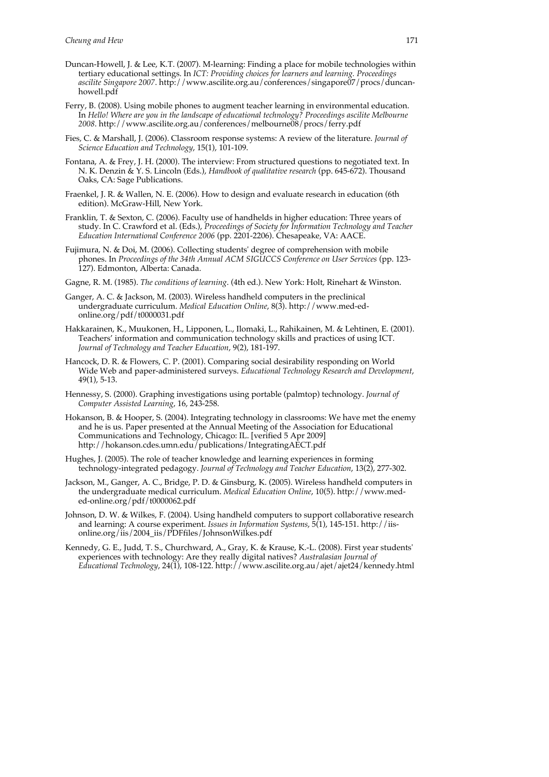- Duncan-Howell, J. & Lee, K.T. (2007). M-learning: Finding a place for mobile technologies within tertiary educational settings. In *ICT: Providing choices for learners and learning. Proceedings ascilite Singapore 2007*. http://www.ascilite.org.au/conferences/singapore07/procs/duncanhowell.pdf
- Ferry, B. (2008). Using mobile phones to augment teacher learning in environmental education. In *Hello! Where are you in the landscape of educational technology? Proceedings ascilite Melbourne 2008*. http://www.ascilite.org.au/conferences/melbourne08/procs/ferry.pdf
- Fies, C. & Marshall, J. (2006). Classroom response systems: A review of the literature. *Journal of Science Education and Technology*, 15(1), 101-109.
- Fontana, A. & Frey, J. H. (2000). The interview: From structured questions to negotiated text. In N. K. Denzin & Y. S. Lincoln (Eds.), *Handbook of qualitative research* (pp. 645-672). Thousand Oaks, CA: Sage Publications.
- Fraenkel, J. R. & Wallen, N. E. (2006). How to design and evaluate research in education (6th edition). McGraw-Hill, New York.
- Franklin, T. & Sexton, C. (2006). Faculty use of handhelds in higher education: Three years of study. In C. Crawford et al. (Eds.), *Proceedings of Society for Information Technology and Teacher Education International Conference 2006* (pp. 2201-2206). Chesapeake, VA: AACE.
- Fujimura, N. & Doi, M. (2006). Collecting students' degree of comprehension with mobile phones. In *Proceedings of the 34th Annual ACM SIGUCCS Conference on User Services* (pp. 123- 127). Edmonton, Alberta: Canada.
- Gagne, R. M. (1985). *The conditions of learning*. (4th ed.). New York: Holt, Rinehart & Winston.
- Ganger, A. C. & Jackson, M. (2003). Wireless handheld computers in the preclinical undergraduate curriculum. *Medical Education Online*, 8(3). http://www.med-edonline.org/pdf/t0000031.pdf
- Hakkarainen, K., Muukonen, H., Lipponen, L., Ilomaki, L., Rahikainen, M. & Lehtinen, E. (2001). Teachers' information and communication technology skills and practices of using ICT. *Journal of Technology and Teacher Education*, 9(2), 181-197.
- Hancock, D. R. & Flowers, C. P. (2001). Comparing social desirability responding on World Wide Web and paper-administered surveys. *Educational Technology Research and Development*, 49(1), 5-13.
- Hennessy, S. (2000). Graphing investigations using portable (palmtop) technology. *Journal of Computer Assisted Learning*, 16, 243-258.
- Hokanson, B. & Hooper, S. (2004). Integrating technology in classrooms: We have met the enemy and he is us. Paper presented at the Annual Meeting of the Association for Educational Communications and Technology, Chicago: IL. [verified 5 Apr 2009] http://hokanson.cdes.umn.edu/publications/IntegratingAECT.pdf
- Hughes, J. (2005). The role of teacher knowledge and learning experiences in forming technology-integrated pedagogy. *Journal of Technology and Teacher Education*, 13(2), 277-302.
- Jackson, M., Ganger, A. C., Bridge, P. D. & Ginsburg, K. (2005). Wireless handheld computers in the undergraduate medical curriculum. *Medical Education Online*, 10(5). http://www.meded-online.org/pdf/t0000062.pdf
- Johnson, D. W. & Wilkes, F. (2004). Using handheld computers to support collaborative research and learning: A course experiment. *Issues in Information Systems*, 5(1), 145-151. http://iisonline.org/iis/2004\_iis/PDFfiles/JohnsonWilkes.pdf
- Kennedy, G. E., Judd, T. S., Churchward, A., Gray, K. & Krause, K.-L. (2008). First year students' experiences with technology: Are they really digital natives? *Australasian Journal of Educational Technology*, 24(1), 108-122. http://www.ascilite.org.au/ajet/ajet24/kennedy.html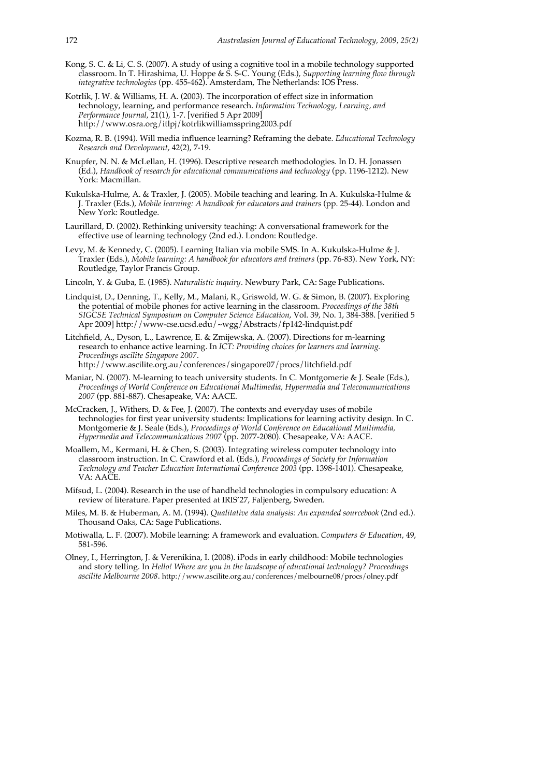- Kong, S. C. & Li, C. S. (2007). A study of using a cognitive tool in a mobile technology supported classroom. In T. Hirashima, U. Hoppe & S. S-C. Young (Eds.), *Supporting learning flow through integrative technologies* (pp. 455-462). Amsterdam, The Netherlands: IOS Press.
- Kotrlik, J. W. & Williams, H. A. (2003). The incorporation of effect size in information technology, learning, and performance research. *Information Technology, Learning, and Performance Journal*, 21(1), 1-7. [verified 5 Apr 2009] http://www.osra.org/itlpj/kotrlikwilliamsspring2003.pdf
- Kozma, R. B. (1994). Will media influence learning? Reframing the debate. *Educational Technology Research and Development*, 42(2), 7-19.
- Knupfer, N. N. & McLellan, H. (1996). Descriptive research methodologies. In D. H. Jonassen (Ed.), *Handbook of research for educational communications and technology* (pp. 1196-1212). New York: Macmillan.
- Kukulska-Hulme, A. & Traxler, J. (2005). Mobile teaching and learing. In A. Kukulska-Hulme & J. Traxler (Eds.), *Mobile learning: A handbook for educators and trainers* (pp. 25-44). London and New York: Routledge.
- Laurillard, D. (2002). Rethinking university teaching: A conversational framework for the effective use of learning technology (2nd ed.). London: Routledge.
- Levy, M. & Kennedy, C. (2005). Learning Italian via mobile SMS. In A. Kukulska-Hulme & J. Traxler (Eds.), *Mobile learning: A handbook for educators and trainers* (pp. 76-83). New York, NY: Routledge, Taylor Francis Group.
- Lincoln, Y. & Guba, E. (1985). *Naturalistic inquiry*. Newbury Park, CA: Sage Publications.
- Lindquist, D., Denning, T., Kelly, M., Malani, R., Griswold, W. G. & Simon, B. (2007). Exploring the potential of mobile phones for active learning in the classroom. *Proceedings of the 38th SIGCSE Technical Symposium on Computer Science Education*, Vol. 39, No. 1, 384-388. [verified 5 Apr 2009] http://www-cse.ucsd.edu/~wgg/Abstracts/fp142-lindquist.pdf
- Litchfield, A., Dyson, L., Lawrence, E. & Zmijewska, A. (2007). Directions for m-learning research to enhance active learning. In *ICT: Providing choices for learners and learning. Proceedings ascilite Singapore 2007*. http://www.ascilite.org.au/conferences/singapore07/procs/litchfield.pdf
- Maniar, N. (2007). M-learning to teach university students. In C. Montgomerie & J. Seale (Eds.),
- *Proceedings of World Conference on Educational Multimedia, Hypermedia and Telecommunications 2007* (pp. 881-887). Chesapeake, VA: AACE.
- McCracken, J., Withers, D. & Fee, J. (2007). The contexts and everyday uses of mobile technologies for first year university students: Implications for learning activity design. In C. Montgomerie & J. Seale (Eds.), *Proceedings of World Conference on Educational Multimedia, Hypermedia and Telecommunications 2007* (pp. 2077-2080). Chesapeake, VA: AACE.
- Moallem, M., Kermani, H. & Chen, S. (2003). Integrating wireless computer technology into classroom instruction. In C. Crawford et al. (Eds.), *Proceedings of Society for Information Technology and Teacher Education International Conference 2003* (pp. 1398-1401). Chesapeake, VA: AACE.
- Mifsud, L. (2004). Research in the use of handheld technologies in compulsory education: A review of literature. Paper presented at IRIS'27, Faljenberg, Sweden.
- Miles, M. B. & Huberman, A. M. (1994). *Qualitative data analysis: An expanded sourcebook* (2nd ed.). Thousand Oaks, CA: Sage Publications.
- Motiwalla, L. F. (2007). Mobile learning: A framework and evaluation. *Computers & Education*, 49, 581-596.
- Olney, I., Herrington, J. & Verenikina, I. (2008). iPods in early childhood: Mobile technologies and story telling. In *Hello! Where are you in the landscape of educational technology? Proceedings ascilite Melbourne 2008*. http://www.ascilite.org.au/conferences/melbourne08/procs/olney.pdf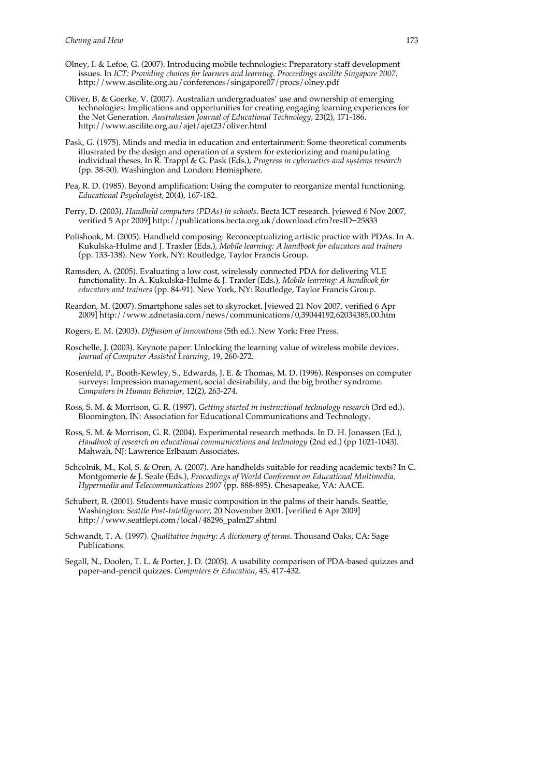- Olney, I. & Lefoe, G. (2007). Introducing mobile technologies: Preparatory staff development issues. In *ICT: Providing choices for learners and learning. Proceedings ascilite Singapore 2007*. http://www.ascilite.org.au/conferences/singapore07/procs/olney.pdf
- Oliver, B. & Goerke, V. (2007). Australian undergraduates' use and ownership of emerging technologies: Implications and opportunities for creating engaging learning experiences for the Net Generation. *Australasian Journal of Educational Technology*, 23(2), 171-186. http://www.ascilite.org.au/ajet/ajet23/oliver.html
- Pask, G. (1975). Minds and media in education and entertainment: Some theoretical comments illustrated by the design and operation of a system for exteriorizing and manipulating individual theses. In R. Trappl & G. Pask (Eds.), *Progress in cybernetics and systems research* (pp. 38-50). Washington and London: Hemisphere.
- Pea, R. D. (1985). Beyond amplification: Using the computer to reorganize mental functioning. *Educational Psychologist*, 20(4), 167-182.
- Perry, D. (2003). *Handheld computers (PDAs) in schools*. Becta ICT research. [viewed 6 Nov 2007, verified 5 Apr 2009] http://publications.becta.org.uk/download.cfm?resID=25833
- Polishook, M. (2005). Handheld composing: Reconceptualizing artistic practice with PDAs. In A. Kukulska-Hulme and J. Traxler (Eds.), *Mobile learning: A handbook for educators and trainers* (pp. 133-138). New York, NY: Routledge, Taylor Francis Group.
- Ramsden, A. (2005). Evaluating a low cost, wirelessly connected PDA for delivering VLE functionality. In A. Kukulska-Hulme & J. Traxler (Eds.), *Mobile learning: A handbook for educators and trainers* (pp. 84-91). New York, NY: Routledge, Taylor Francis Group.
- Reardon, M. (2007). Smartphone sales set to skyrocket. [viewed 21 Nov 2007, verified 6 Apr 2009] http://www.zdnetasia.com/news/communications/0,39044192,62034385,00.htm
- Rogers, E. M. (2003). *Diffusion of innovations* (5th ed.). New York: Free Press.
- Roschelle, J. (2003). Keynote paper: Unlocking the learning value of wireless mobile devices. *Journal of Computer Assisted Learning*, 19, 260-272.
- Rosenfeld, P., Booth-Kewley, S., Edwards, J. E. & Thomas, M. D. (1996). Responses on computer surveys: Impression management, social desirability, and the big brother syndrome. *Computers in Human Behavior*, 12(2), 263-274.
- Ross, S. M. & Morrison, G. R. (1997). *Getting started in instructional technology research* (3rd ed.). Bloomington, IN: Association for Educational Communications and Technology.
- Ross, S. M. & Morrison, G. R. (2004). Experimental research methods. In D. H. Jonassen (Ed.), *Handbook of research on educational communications and technology* (2nd ed.) (pp 1021-1043). Mahwah, NJ: Lawrence Erlbaum Associates.
- Schcolnik, M., Kol, S. & Oren, A. (2007). Are handhelds suitable for reading academic texts? In C. Montgomerie & J. Seale (Eds.), *Proceedings of World Conference on Educational Multimedia, Hypermedia and Telecommunications 2007* (pp. 888-895). Chesapeake, VA: AACE.
- Schubert, R. (2001). Students have music composition in the palms of their hands. Seattle, Washington: *Seattle Post-Intelligencer*, 20 November 2001. [verified 6 Apr 2009] http://www.seattlepi.com/local/48296\_palm27.shtml
- Schwandt, T. A. (1997). *Qualitative inquiry: A dictionary of terms*. Thousand Oaks, CA: Sage Publications.
- Segall, N., Doolen, T. L. & Porter, J. D. (2005). A usability comparison of PDA-based quizzes and paper-and-pencil quizzes. *Computers & Education*, 45, 417-432.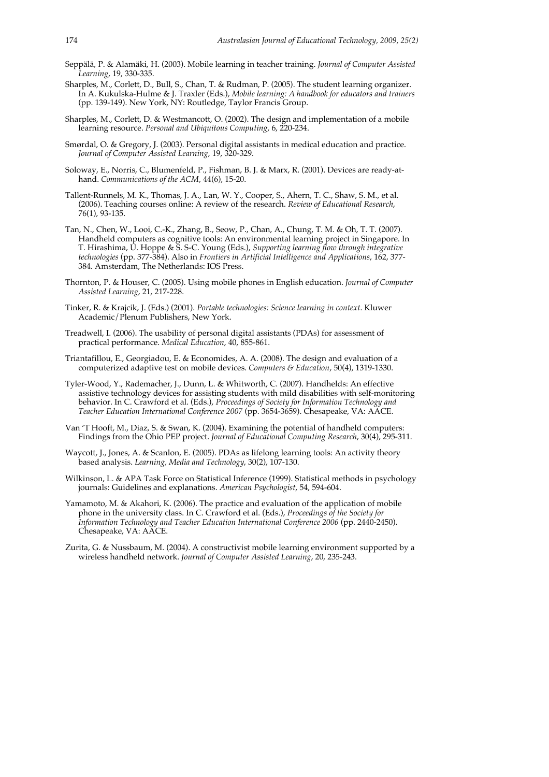- Seppälä, P. & Alamäki, H. (2003). Mobile learning in teacher training. *Journal of Computer Assisted Learning*, 19, 330-335.
- Sharples, M., Corlett, D., Bull, S., Chan, T. & Rudman, P. (2005). The student learning organizer. In A. Kukulska-Hulme & J. Traxler (Eds.), *Mobile learning: A handbook for educators and trainers* (pp. 139-149). New York, NY: Routledge, Taylor Francis Group.
- Sharples, M., Corlett, D. & Westmancott, O. (2002). The design and implementation of a mobile learning resource. *Personal and Ubiquitous Computing*, 6, 220-234.
- Smørdal, O. & Gregory, J. (2003). Personal digital assistants in medical education and practice. *Journal of Computer Assisted Learning*, 19, 320-329.
- Soloway, E., Norris, C., Blumenfeld, P., Fishman, B. J. & Marx, R. (2001). Devices are ready-athand. *Communications of the ACM*, 44(6), 15-20.
- Tallent-Runnels, M. K., Thomas, J. A., Lan, W. Y., Cooper, S., Ahern, T. C., Shaw, S. M., et al. (2006). Teaching courses online: A review of the research. *Review of Educational Research*, 76(1), 93-135.
- Tan, N., Chen, W., Looi, C.-K., Zhang, B., Seow, P., Chan, A., Chung, T. M. & Oh, T. T. (2007). Handheld computers as cognitive tools: An environmental learning project in Singapore. In T. Hirashima, U. Hoppe & S. S-C. Young (Eds.), *Supporting learning flow through integrative technologies* (pp. 377-384). Also in *Frontiers in Artificial Intelligence and Applications*, 162, 377- 384. Amsterdam, The Netherlands: IOS Press.
- Thornton, P. & Houser, C. (2005). Using mobile phones in English education. *Journal of Computer Assisted Learning*, 21, 217-228.
- Tinker, R. & Krajcik, J. (Eds.) (2001). *Portable technologies: Science learning in context*. Kluwer Academic/Plenum Publishers, New York.
- Treadwell, I. (2006). The usability of personal digital assistants (PDAs) for assessment of practical performance. *Medical Education*, 40, 855-861.
- Triantafillou, E., Georgiadou, E. & Economides, A. A. (2008). The design and evaluation of a computerized adaptive test on mobile devices. *Computers & Education*, 50(4), 1319-1330.
- Tyler-Wood, Y., Rademacher, J., Dunn, L. & Whitworth, C. (2007). Handhelds: An effective assistive technology devices for assisting students with mild disabilities with self-monitoring behavior. In C. Crawford et al. (Eds.), *Proceedings of Society for Information Technology and Teacher Education International Conference 2007* (pp. 3654-3659). Chesapeake, VA: AACE.
- Van 'T Hooft, M., Diaz, S. & Swan, K. (2004). Examining the potential of handheld computers: Findings from the Ohio PEP project. *Journal of Educational Computing Research*, 30(4), 295-311.
- Waycott, J., Jones, A. & Scanlon, E. (2005). PDAs as lifelong learning tools: An activity theory based analysis. *Learning, Media and Technology*, 30(2), 107-130.
- Wilkinson, L. & APA Task Force on Statistical Inference (1999). Statistical methods in psychology journals: Guidelines and explanations. *American Psychologist*, 54, 594-604.
- Yamamoto, M. & Akahori, K. (2006). The practice and evaluation of the application of mobile phone in the university class. In C. Crawford et al. (Eds.), *Proceedings of the Society for Information Technology and Teacher Education International Conference 2006* (pp. 2440-2450). Chesapeake, VA: AACE.
- Zurita, G. & Nussbaum, M. (2004). A constructivist mobile learning environment supported by a wireless handheld network. *Journal of Computer Assisted Learning*, 20, 235-243.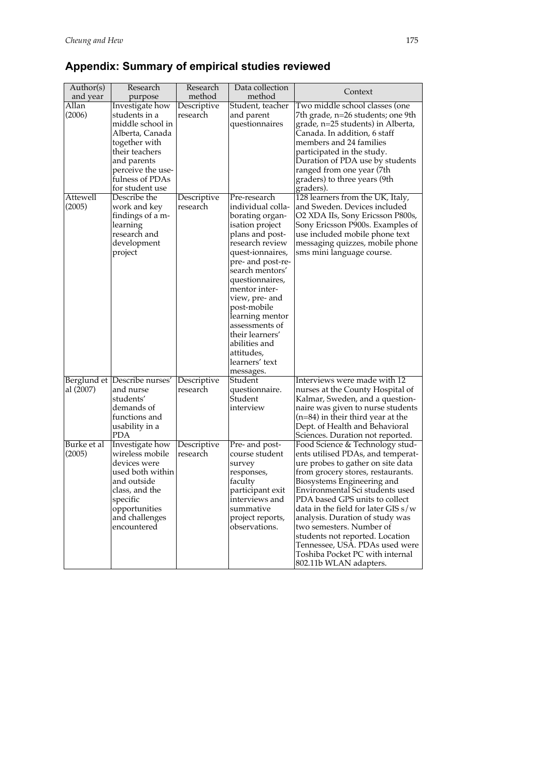# **Appendix: Summary of empirical studies reviewed**

| Author(s)             | Research                                                                                                                                                                             | Research                | Data collection                                                                                                                                                                                                                                                                                                                                                      | Context                                                                                                                                                                                                                                                                                                                                                                                                                                                                                     |
|-----------------------|--------------------------------------------------------------------------------------------------------------------------------------------------------------------------------------|-------------------------|----------------------------------------------------------------------------------------------------------------------------------------------------------------------------------------------------------------------------------------------------------------------------------------------------------------------------------------------------------------------|---------------------------------------------------------------------------------------------------------------------------------------------------------------------------------------------------------------------------------------------------------------------------------------------------------------------------------------------------------------------------------------------------------------------------------------------------------------------------------------------|
| and year              | purpose                                                                                                                                                                              | method                  | method                                                                                                                                                                                                                                                                                                                                                               |                                                                                                                                                                                                                                                                                                                                                                                                                                                                                             |
| Allan<br>(2006)       | Investigate how<br>students in a<br>middle school in<br>Alberta, Canada<br>together with<br>their teachers<br>and parents<br>perceive the use-<br>fulness of PDAs<br>for student use | Descriptive<br>research | Student, teacher<br>and parent<br>questionnaires                                                                                                                                                                                                                                                                                                                     | Two middle school classes (one<br>7th grade, n=26 students; one 9th<br>grade, n=25 students) in Alberta,<br>Canada. In addition, 6 staff<br>members and 24 families<br>participated in the study.<br>Duration of PDA use by students<br>ranged from one year (7th<br>graders) to three years (9th<br>graders).                                                                                                                                                                              |
| Attewell<br>(2005)    | Describe the<br>work and key<br>findings of a m-<br>learning<br>research and<br>development<br>project                                                                               | Descriptive<br>research | Pre-research<br>individual colla-<br>borating organ-<br>isation project<br>plans and post-<br>research review<br>quest-ionnaires,<br>pre- and post-re-<br>search mentors'<br>questionnaires,<br>mentor inter-<br>view, pre- and<br>post-mobile<br>learning mentor<br>assessments of<br>their learners'<br>abilities and<br>attitudes,<br>learners' text<br>messages. | 128 learners from the UK, Italy,<br>and Sweden. Devices included<br>O2 XDA IIs, Sony Ericsson P800s,<br>Sony Ericsson P900s. Examples of<br>use included mobile phone text<br>messaging quizzes, mobile phone<br>sms mini language course.                                                                                                                                                                                                                                                  |
| al (2007)             | Berglund et Describe nurses'<br>and nurse<br>students'<br>demands of<br>functions and<br>usability in a<br><b>PDA</b>                                                                | Descriptive<br>research | Student<br>questionnaire.<br>Student<br>interview                                                                                                                                                                                                                                                                                                                    | Interviews were made with 12<br>nurses at the County Hospital of<br>Kalmar, Sweden, and a question-<br>naire was given to nurse students<br>$(n=84)$ in their third year at the<br>Dept. of Health and Behavioral<br>Sciences. Duration not reported.                                                                                                                                                                                                                                       |
| Burke et al<br>(2005) | Investigate how<br>wireless mobile<br>devices were<br>used both within<br>and outside<br>class, and the<br>specific<br>opportunities<br>and challenges<br>encountered                | Descriptive<br>research | Pre- and post-<br>course student<br>survey<br>responses,<br>faculty<br>participant exit<br>interviews and<br>summative<br>project reports,<br>observations.                                                                                                                                                                                                          | Food Science & Technology stud-<br>ents utilised PDAs, and temperat-<br>ure probes to gather on site data<br>from grocery stores, restaurants.<br>Biosystems Engineering and<br>Environmental Sci students used<br>PDA based GPS units to collect<br>data in the field for later GIS $s/w$<br>analysis. Duration of study was<br>two semesters. Number of<br>students not reported. Location<br>Tennessee, USĀ. PDAs used were<br>Toshiba Pocket PC with internal<br>802.11b WLAN adapters. |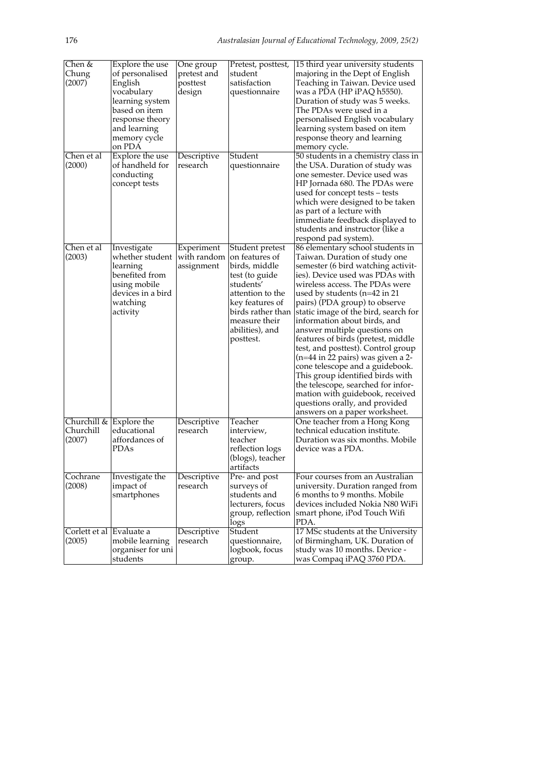| Chen &<br>Chung<br>(2007)                         | Explore the use<br>of personalised<br>English<br>vocabulary<br>learning system<br>based on item<br>response theory<br>and learning<br>memory cycle<br>on PDA | One group<br>pretest and<br>posttest<br>design | Pretest, posttest,<br>student<br>satisfaction<br>questionnaire                                                                                                                                 | 15 third year university students<br>majoring in the Dept of English<br>Teaching in Taiwan. Device used<br>was a PDA (HP iPAQ h5550).<br>Duration of study was 5 weeks.<br>The PDAs were used in a<br>personalised English vocabulary<br>learning system based on item<br>response theory and learning<br>memory cycle.                                                                                                                                                                                                                                                                                                                                                                     |
|---------------------------------------------------|--------------------------------------------------------------------------------------------------------------------------------------------------------------|------------------------------------------------|------------------------------------------------------------------------------------------------------------------------------------------------------------------------------------------------|---------------------------------------------------------------------------------------------------------------------------------------------------------------------------------------------------------------------------------------------------------------------------------------------------------------------------------------------------------------------------------------------------------------------------------------------------------------------------------------------------------------------------------------------------------------------------------------------------------------------------------------------------------------------------------------------|
| Chen et al<br>(2000)                              | Explore the use<br>of handheld for<br>conducting<br>concept tests                                                                                            | Descriptive<br>research                        | Student<br>questionnaire                                                                                                                                                                       | 50 students in a chemistry class in<br>the USA. Duration of study was<br>one semester. Device used was<br>HP Jornada 680. The PDAs were<br>used for concept tests – tests<br>which were designed to be taken<br>as part of a lecture with<br>immediate feedback displayed to<br>students and instructor (like a<br>respond pad system).                                                                                                                                                                                                                                                                                                                                                     |
| Chen et al<br>(2003)                              | Investigate<br>whether student<br>learning<br>benefited from<br>using mobile<br>devices in a bird<br>watching<br>activity                                    | Experiment<br>with random<br>assignment        | Student pretest<br>on features of<br>birds, middle<br>test (to guide<br>students'<br>attention to the<br>key features of<br>birds rather than<br>measure their<br>abilities), and<br>posttest. | 86 elementary school students in<br>Taiwan. Duration of study one<br>semester (6 bird watching activit-<br>ies). Device used was PDAs with<br>wireless access. The PDAs were<br>used by students $(n=42$ in 21<br>pairs) (PDA group) to observe<br>static image of the bird, search for<br>information about birds, and<br>answer multiple questions on<br>features of birds (pretest, middle<br>test, and posttest). Control group<br>(n=44 in 22 pairs) was given a 2-<br>cone telescope and a guidebook.<br>This group identified birds with<br>the telescope, searched for infor-<br>mation with guidebook, received<br>questions orally, and provided<br>answers on a paper worksheet. |
| Churchill $\&$ Explore the<br>Churchill<br>(2007) | educational<br>affordances of<br>PDAs                                                                                                                        | Descriptive<br>research                        | Teacher<br>interview,<br>teacher<br>reflection logs<br>(blogs), teacher<br>artifacts                                                                                                           | One teacher from a Hong Kong<br>technical education institute.<br>Duration was six months. Mobile<br>device was a PDA.                                                                                                                                                                                                                                                                                                                                                                                                                                                                                                                                                                      |
| Cochrane<br>(2008)                                | Investigate the<br>impact of<br>smartphones                                                                                                                  | Descriptive<br>research                        | Pre- and post<br>surveys of<br>students and<br>lecturers, focus<br>group, reflection<br>logs                                                                                                   | Four courses from an Australian<br>university. Duration ranged from<br>6 months to 9 months. Mobile<br>devices included Nokia N80 WiFi<br>smart phone, iPod Touch Wifi<br>PDA.                                                                                                                                                                                                                                                                                                                                                                                                                                                                                                              |
| Corlett et al Evaluate a<br>(2005)                | mobile learning<br>organiser for uni<br>students                                                                                                             | Descriptive<br>research                        | Student<br>questionnaire,<br>logbook, focus<br>group.                                                                                                                                          | 17 MSc students at the University<br>of Birmingham, UK. Duration of<br>study was 10 months. Device -<br>was Compaq iPAQ 3760 PDA.                                                                                                                                                                                                                                                                                                                                                                                                                                                                                                                                                           |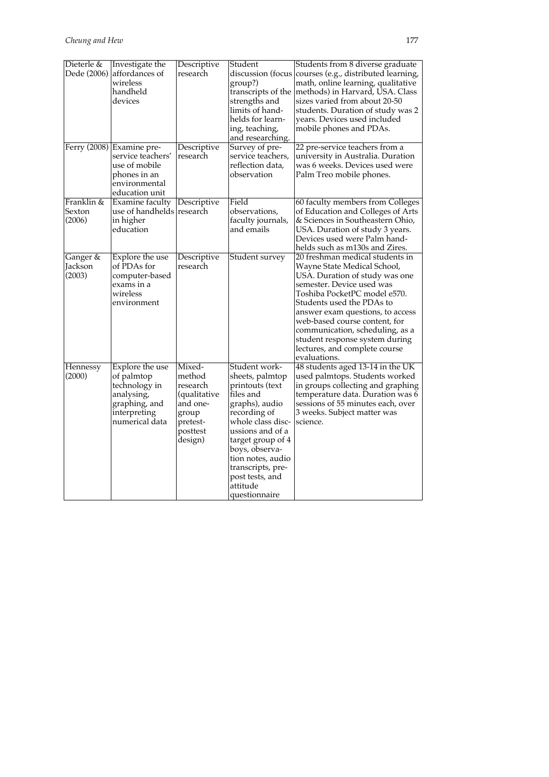| Dieterle &                     | Investigate the<br>Dede (2006) affordances of<br>wireless<br>handheld<br>devices                                   | Descriptive<br>research                                                                              | Student<br>discussion (focus<br>group?)<br>transcripts of the<br>strengths and<br>limits of hand-<br>helds for learn-<br>ing, teaching,<br>and researching.                                                                                                                  | Students from 8 diverse graduate<br>courses (e.g., distributed learning,<br>math, online learning, qualitative<br>methods) in Harvard, USA. Class<br>sizes varied from about 20-50<br>students. Duration of study was 2<br>years. Devices used included<br>mobile phones and PDAs.                                                                                                    |
|--------------------------------|--------------------------------------------------------------------------------------------------------------------|------------------------------------------------------------------------------------------------------|------------------------------------------------------------------------------------------------------------------------------------------------------------------------------------------------------------------------------------------------------------------------------|---------------------------------------------------------------------------------------------------------------------------------------------------------------------------------------------------------------------------------------------------------------------------------------------------------------------------------------------------------------------------------------|
|                                | Ferry (2008) Examine pre-<br>service teachers'<br>use of mobile<br>phones in an<br>environmental<br>education unit | Descriptive<br>research                                                                              | Survey of pre-<br>service teachers,<br>reflection data,<br>observation                                                                                                                                                                                                       | 22 pre-service teachers from a<br>university in Australia. Duration<br>was 6 weeks. Devices used were<br>Palm Treo mobile phones.                                                                                                                                                                                                                                                     |
| Franklin &<br>Sexton<br>(2006) | <b>Examine faculty</b><br>use of handhelds research<br>in higher<br>education                                      | Descriptive                                                                                          | Field<br>observations,<br>faculty journals,<br>and emails                                                                                                                                                                                                                    | 60 faculty members from Colleges<br>of Education and Colleges of Arts<br>& Sciences in Southeastern Ohio,<br>USA. Duration of study 3 years.<br>Devices used were Palm hand-<br>helds such as m130s and Zires.                                                                                                                                                                        |
| Ganger &<br>Jackson<br>(2003)  | Explore the use<br>of PDAs for<br>computer-based<br>exams in a<br>wireless<br>environment                          | Descriptive<br>research                                                                              | Student survey                                                                                                                                                                                                                                                               | 20 freshman medical students in<br>Wayne State Medical School,<br>USA. Duration of study was one<br>semester. Device used was<br>Toshiba PocketPC model e570.<br>Students used the PDAs to<br>answer exam questions, to access<br>web-based course content, for<br>communication, scheduling, as a<br>student response system during<br>lectures, and complete course<br>evaluations. |
| Hennessy<br>(2000)             | Explore the use<br>of palmtop<br>technology in<br>analysing,<br>graphing, and<br>interpreting<br>numerical data    | Mixed-<br>method<br>research<br>(qualitative<br>and one-<br>group<br>pretest-<br>posttest<br>design) | Student work-<br>sheets, palmtop<br>printouts (text<br>files and<br>graphs), audio<br>recording of<br>whole class disc-<br>ussions and of a<br>target group of 4<br>boys, observa-<br>tion notes, audio<br>transcripts, pre-<br>post tests, and<br>attitude<br>questionnaire | 48 students aged 13-14 in the UK<br>used palmtops. Students worked<br>in groups collecting and graphing<br>temperature data. Duration was 6<br>sessions of 55 minutes each, over<br>3 weeks. Subject matter was<br>science.                                                                                                                                                           |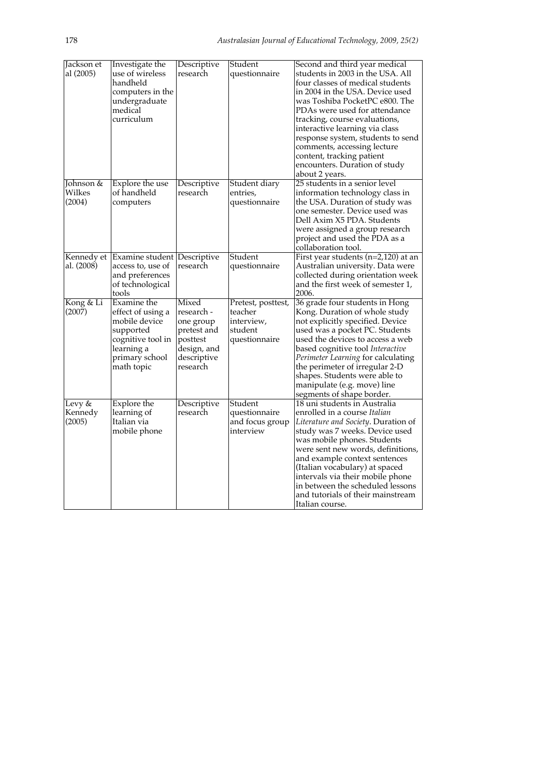| Jackson et<br>al (2005)       | Investigate the<br>use of wireless<br>handheld<br>computers in the<br>undergraduate<br>medical<br>curriculum                      | Descriptive<br>research                                                                               | Student<br>questionnaire                                                | Second and third year medical<br>students in 2003 in the USA. All<br>four classes of medical students<br>in 2004 in the USA. Device used<br>was Toshiba PocketPC e800. The<br>PDAs were used for attendance<br>tracking, course evaluations,<br>interactive learning via class<br>response system, students to send<br>comments, accessing lecture<br>content, tracking patient<br>encounters. Duration of study<br>about 2 years. |
|-------------------------------|-----------------------------------------------------------------------------------------------------------------------------------|-------------------------------------------------------------------------------------------------------|-------------------------------------------------------------------------|------------------------------------------------------------------------------------------------------------------------------------------------------------------------------------------------------------------------------------------------------------------------------------------------------------------------------------------------------------------------------------------------------------------------------------|
| Johnson &<br>Wilkes<br>(2004) | Explore the use<br>of handheld<br>computers                                                                                       | Descriptive<br>research                                                                               | Student diary<br>entries,<br>questionnaire                              | 25 students in a senior level<br>information technology class in<br>the USA. Duration of study was<br>one semester. Device used was<br>Dell Axim X5 PDA. Students<br>were assigned a group research<br>project and used the PDA as a<br>collaboration tool.                                                                                                                                                                        |
| Kennedy et<br>al. (2008)      | Examine student Descriptive<br>access to, use of<br>and preferences<br>of technological<br>tools                                  | research                                                                                              | Student<br>questionnaire                                                | First year students $(n=2,120)$ at an<br>Australian university. Data were<br>collected during orientation week<br>and the first week of semester 1,<br>2006.                                                                                                                                                                                                                                                                       |
| Kong & Li<br>(2007)           | Examine the<br>effect of using a<br>mobile device<br>supported<br>cognitive tool in<br>learning a<br>primary school<br>math topic | Mixed<br>research -<br>one group<br>pretest and<br>posttest<br>design, and<br>descriptive<br>research | Pretest, posttest,<br>teacher<br>interview,<br>student<br>questionnaire | 36 grade four students in Hong<br>Kong. Duration of whole study<br>not explicitly specified. Device<br>used was a pocket PC. Students<br>used the devices to access a web<br>based cognitive tool Interactive<br>Perimeter Learning for calculating<br>the perimeter of irregular 2-D<br>shapes. Students were able to<br>manipulate (e.g. move) line<br>segments of shape border.                                                 |
| Levy &<br>Kennedy<br>(2005)   | Explore the<br>learning of<br>Italian via<br>mobile phone                                                                         | Descriptive<br>research                                                                               | Student<br>questionnaire<br>and focus group<br>interview                | 18 uni students in Australia<br>enrolled in a course Italian<br>Literature and Society. Duration of<br>study was 7 weeks. Device used<br>was mobile phones. Students<br>were sent new words, definitions,<br>and example context sentences<br>(Italian vocabulary) at spaced<br>intervals via their mobile phone<br>in between the scheduled lessons<br>and tutorials of their mainstream<br>Italian course.                       |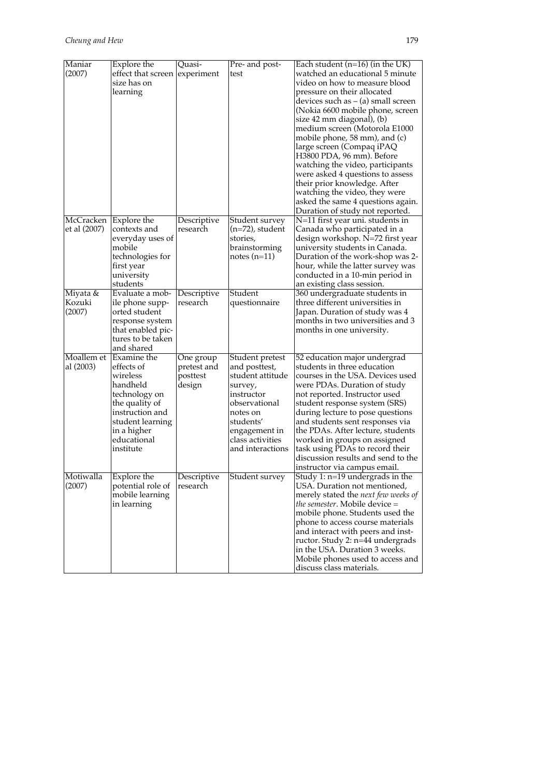| Maniar                       | Explore the                                                                                                                                                            | Quasi-                                         | Pre- and post-                                                                                                                                                                   | Each student $(n=16)$ (in the UK)                                                                                                                                                                                                                                                                                                                                                                                                                                                                                                                   |
|------------------------------|------------------------------------------------------------------------------------------------------------------------------------------------------------------------|------------------------------------------------|----------------------------------------------------------------------------------------------------------------------------------------------------------------------------------|-----------------------------------------------------------------------------------------------------------------------------------------------------------------------------------------------------------------------------------------------------------------------------------------------------------------------------------------------------------------------------------------------------------------------------------------------------------------------------------------------------------------------------------------------------|
| (2007)                       | effect that screen<br>size has on<br>learning                                                                                                                          | experiment                                     | test                                                                                                                                                                             | watched an educational 5 minute<br>video on how to measure blood<br>pressure on their allocated<br>devices such as – (a) small screen<br>(Nokia 6600 mobile phone, screen<br>size 42 mm diagonal), (b)<br>medium screen (Motorola E1000<br>mobile phone, 58 mm), and (c)<br>large screen (Compaq iPAQ<br>H3800 PDA, 96 mm). Before<br>watching the video, participants<br>were asked 4 questions to assess<br>their prior knowledge. After<br>watching the video, they were<br>asked the same 4 questions again.<br>Duration of study not reported. |
| McCracken<br>et al (2007)    | Explore the<br>contexts and<br>everyday uses of<br>mobile<br>technologies for<br>first year<br>university<br>students                                                  | Descriptive<br>research                        | Student survey<br>$(n=72)$ , student<br>stories,<br>brainstorming<br>$notes( n=11)$                                                                                              | N=11 first year uni. students in<br>Canada who participated in a<br>design workshop. N=72 first year<br>university students in Canada.<br>Duration of the work-shop was 2-<br>hour, while the latter survey was<br>conducted in a 10-min period in<br>an existing class session.                                                                                                                                                                                                                                                                    |
| Miyata &<br>Kozuki<br>(2007) | Evaluate a mob-<br>ile phone supp-<br>orted student<br>response system<br>that enabled pic-<br>tures to be taken<br>and shared                                         | Descriptive<br>research                        | Student<br>questionnaire                                                                                                                                                         | 360 undergraduate students in<br>three different universities in<br>Japan. Duration of study was 4<br>months in two universities and 3<br>months in one university.                                                                                                                                                                                                                                                                                                                                                                                 |
| Moallem et<br>al (2003)      | Examine the<br>effects of<br>wireless<br>handheld<br>technology on<br>the quality of<br>instruction and<br>student learning<br>in a higher<br>educational<br>institute | One group<br>pretest and<br>posttest<br>design | Student pretest<br>and posttest,<br>student attitude<br>survey,<br>instructor<br>observational<br>notes on<br>students'<br>engagement in<br>class activities<br>and interactions | 52 education major undergrad<br>students in three education<br>courses in the USA. Devices used<br>were PDAs. Duration of study<br>not reported. Instructor used<br>student response system (SRS)<br>during lecture to pose questions<br>and students sent responses via<br>the PDAs. After lecture, students<br>worked in groups on assigned<br>task using PDAs to record their<br>discussion results and send to the<br>instructor via campus email.                                                                                              |
| Motiwalla<br>(2007)          | Explore the<br>potential role of<br>mobile learning<br>in learning                                                                                                     | Descriptive<br>research                        | Student survey                                                                                                                                                                   | Study 1: n=19 undergrads in the<br>USA. Duration not mentioned,<br>merely stated the next few weeks of<br><i>the semester.</i> Mobile device =<br>mobile phone. Students used the<br>phone to access course materials<br>and interact with peers and inst-<br>ructor. Study 2: n=44 undergrads<br>in the USA. Duration 3 weeks.<br>Mobile phones used to access and<br>discuss class materials.                                                                                                                                                     |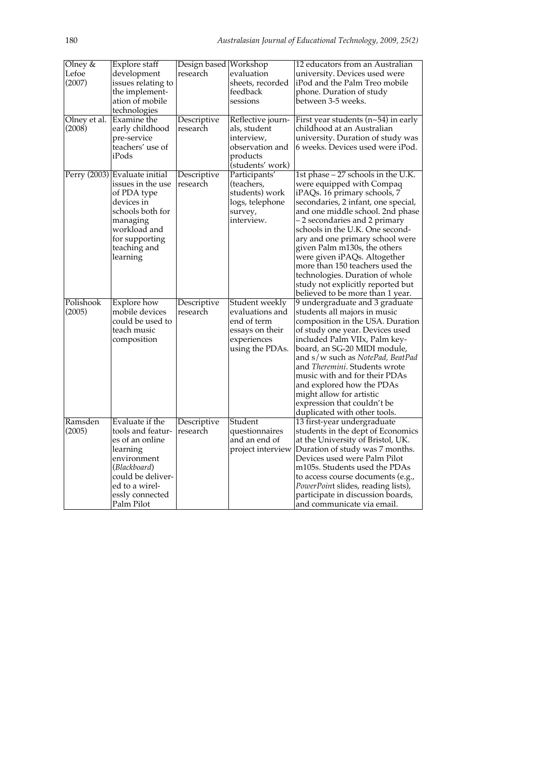| Olney &      | Explore staff                 | Design based Workshop |                   | 12 educators from an Australian       |
|--------------|-------------------------------|-----------------------|-------------------|---------------------------------------|
| Lefoe        | development                   | research              | evaluation        | university. Devices used were         |
| (2007)       | issues relating to            |                       | sheets, recorded  | iPod and the Palm Treo mobile         |
|              | the implement-                |                       | feedback          | phone. Duration of study              |
|              | ation of mobile               |                       | sessions          | between 3-5 weeks.                    |
|              | technologies                  |                       |                   |                                       |
| Olney et al. | Examine the                   | Descriptive           | Reflective journ- | First year students $(n-54)$ in early |
| (2008)       | early childhood               | research              | als, student      | childhood at an Australian            |
|              | pre-service                   |                       | interview,        | university. Duration of study was     |
|              | teachers' use of              |                       | observation and   | 6 weeks. Devices used were iPod.      |
|              | iPods                         |                       | products          |                                       |
|              |                               |                       | (students' work)  |                                       |
|              | Perry (2003) Evaluate initial | Descriptive           | Participants'     | 1st phase - 27 schools in the U.K.    |
|              | issues in the use             | research              | (teachers,        | were equipped with Compaq             |
|              | of PDA type                   |                       | students) work    | iPAQs. 16 primary schools, 7          |
|              | devices in                    |                       | logs, telephone   | secondaries, 2 infant, one special,   |
|              | schools both for              |                       | survey,           | and one middle school. 2nd phase      |
|              | managing                      |                       | interview.        | -2 secondaries and 2 primary          |
|              | workload and                  |                       |                   | schools in the U.K. One second-       |
|              | for supporting                |                       |                   | ary and one primary school were       |
|              | teaching and                  |                       |                   | given Palm m130s, the others          |
|              | learning                      |                       |                   | were given iPAQs. Altogether          |
|              |                               |                       |                   | more than 150 teachers used the       |
|              |                               |                       |                   | technologies. Duration of whole       |
|              |                               |                       |                   | study not explicitly reported but     |
|              |                               |                       |                   | believed to be more than 1 year.      |
| Polishook    | Explore how                   | Descriptive           | Student weekly    | 9 undergraduate and 3 graduate        |
| (2005)       | mobile devices                | research              | evaluations and   | students all majors in music          |
|              | could be used to              |                       | end of term       | composition in the USA. Duration      |
|              | teach music                   |                       | essays on their   | of study one year. Devices used       |
|              | composition                   |                       | experiences       | included Palm VIIx, Palm key-         |
|              |                               |                       | using the PDAs.   | board, an SG-20 MIDI module,          |
|              |                               |                       |                   | and s/w such as NotePad, BeatPad      |
|              |                               |                       |                   | and Theremini. Students wrote         |
|              |                               |                       |                   | music with and for their PDAs         |
|              |                               |                       |                   | and explored how the PDAs             |
|              |                               |                       |                   | might allow for artistic              |
|              |                               |                       |                   | expression that couldn't be           |
|              |                               |                       |                   | duplicated with other tools.          |
| Ramsden      | Evaluate if the               | Descriptive           | Student           | 13 first-year undergraduate           |
| (2005)       | tools and featur-             | research              | questionnaires    | students in the dept of Economics     |
|              | es of an online               |                       | and an end of     | at the University of Bristol, UK.     |
|              | learning                      |                       | project interview | Duration of study was 7 months.       |
|              | environment                   |                       |                   | Devices used were Palm Pilot          |
|              | (Blackboard)                  |                       |                   | m105s. Students used the PDAs         |
|              | could be deliver-             |                       |                   | to access course documents (e.g.,     |
|              | ed to a wirel-                |                       |                   | PowerPoint slides, reading lists),    |
|              | essly connected               |                       |                   | participate in discussion boards,     |
|              | Palm Pilot                    |                       |                   | and communicate via email.            |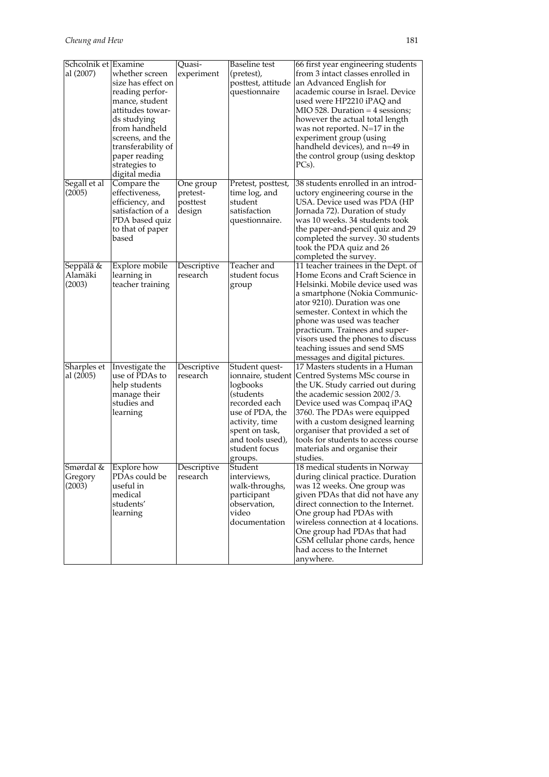| Schcolnik et Examine           |                                                                                                                                                                                                                            | Quasi-                                      | <b>Baseline</b> test                                                                                                                                                                 | 66 first year engineering students                                                                                                                                                                                                                                                                                                                                                   |
|--------------------------------|----------------------------------------------------------------------------------------------------------------------------------------------------------------------------------------------------------------------------|---------------------------------------------|--------------------------------------------------------------------------------------------------------------------------------------------------------------------------------------|--------------------------------------------------------------------------------------------------------------------------------------------------------------------------------------------------------------------------------------------------------------------------------------------------------------------------------------------------------------------------------------|
| al (2007)                      | whether screen<br>size has effect on<br>reading perfor-<br>mance, student<br>attitudes towar-<br>ds studying<br>from handheld<br>screens, and the<br>transferability of<br>paper reading<br>strategies to<br>digital media | experiment                                  | (pretest),<br>posttest, attitude<br>questionnaire                                                                                                                                    | from 3 intact classes enrolled in<br>an Advanced English for<br>academic course in Israel. Device<br>used were HP2210 iPAQ and<br>MIO 528. Duration $=$ 4 sessions;<br>however the actual total length<br>was not reported. N=17 in the<br>experiment group (using<br>handheld devices), and n=49 in<br>the control group (using desktop<br>PCs).                                    |
| Segall et al<br>(2005)         | Compare the<br>effectiveness,<br>efficiency, and<br>satisfaction of a<br>PDA based quiz<br>to that of paper<br>based                                                                                                       | One group<br>pretest-<br>posttest<br>design | Pretest, posttest,<br>time log, and<br>student<br>satisfaction<br>questionnaire.                                                                                                     | 38 students enrolled in an introd-<br>uctory engineering course in the<br>USA. Device used was PDA (HP<br>Jornada 72). Duration of study<br>was 10 weeks. 34 students took<br>the paper-and-pencil quiz and 29<br>completed the survey. 30 students<br>took the PDA quiz and 26<br>completed the survey.                                                                             |
| Seppälä &<br>Alamäki<br>(2003) | Explore mobile<br>learning in<br>teacher training                                                                                                                                                                          | Descriptive<br>research                     | Teacher and<br>student focus<br>group                                                                                                                                                | 11 teacher trainees in the Dept. of<br>Home Econs and Craft Science in<br>Helsinki. Mobile device used was<br>a smartphone (Nokia Communic-<br>ator 9210). Duration was one<br>semester. Context in which the<br>phone was used was teacher<br>practicum. Trainees and super-<br>visors used the phones to discuss<br>teaching issues and send SMS<br>messages and digital pictures. |
| Sharples et<br>al (2005)       | Investigate the<br>use of PDAs to<br>help students<br>manage their<br>studies and<br>learning                                                                                                                              | Descriptive<br>research                     | Student quest-<br>ionnaire, student<br>logbooks<br>(students<br>recorded each<br>use of PDA, the<br>activity, time<br>spent on task,<br>and tools used),<br>student focus<br>groups. | 17 Masters students in a Human<br>Centred Systems MSc course in<br>the UK. Study carried out during<br>the academic session 2002/3.<br>Device used was Compaq iPAQ<br>3760. The PDAs were equipped<br>with a custom designed learning<br>organiser that provided a set of<br>tools for students to access course<br>materials and organise their<br>studies.                         |
| Smørdal &<br>Gregory<br>(2003) | Explore how<br>PDAs could be<br>useful in<br>medical<br>students'<br>learning                                                                                                                                              | Descriptive<br>research                     | Student<br>interviews,<br>walk-throughs,<br>participant<br>observation,<br>video<br>documentation                                                                                    | 18 medical students in Norway<br>during clinical practice. Duration<br>was 12 weeks. One group was<br>given PDAs that did not have any<br>direct connection to the Internet.<br>One group had PDAs with<br>wireless connection at 4 locations.<br>One group had PDAs that had<br>GSM cellular phone cards, hence<br>had access to the Internet<br>anywhere.                          |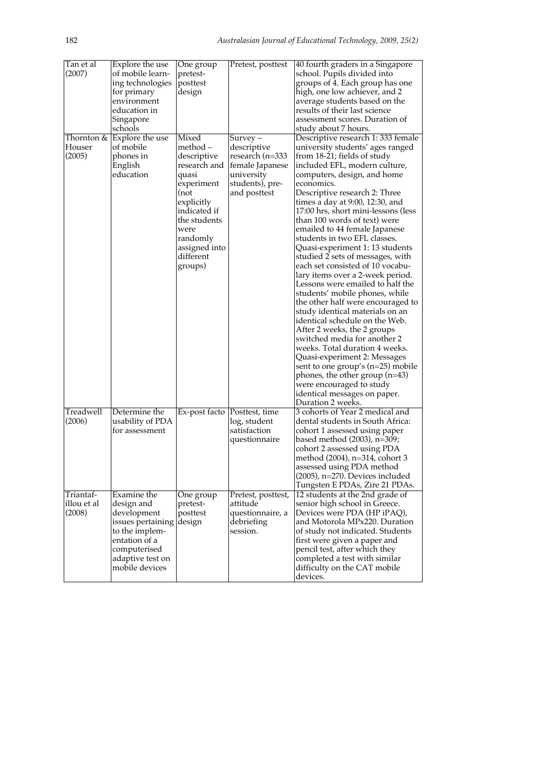| Tan et al<br>(2007)<br>Houser<br>(2005) | Explore the use<br>of mobile learn-<br>ing technologies<br>for primary<br>environment<br>education in<br>Singapore<br>schools<br>Thornton $\&$ Explore the use<br>of mobile<br>phones in<br>English<br>education | One group<br>pretest-<br>posttest<br>design<br>Mixed<br>method –<br>descriptive<br>research and<br>quasi<br>experiment<br>(not<br>explicitly<br>indicated if<br>the students<br>were<br>randomly<br>assigned into<br>different<br>groups) | Pretest, posttest<br>Survey –<br>descriptive<br>research (n=333<br>female Japanese<br>university<br>students), pre-<br>and posttest | 40 fourth graders in a Singapore<br>school. Pupils divided into<br>groups of 4. Each group has one<br>high, one low achiever, and 2<br>average students based on the<br>results of their last science<br>assessment scores. Duration of<br>study about 7 hours.<br>Descriptive research 1: 333 female<br>university students' ages ranged<br>from 18-21; fields of study<br>included EFL, modern culture,<br>computers, design, and home<br>economics.<br>Descriptive research 2: Three<br>times a day at 9:00, 12:30, and<br>17:00 hrs, short mini-lessons (less<br>than 100 words of text) were<br>emailed to 44 female Japanese<br>students in two EFL classes.<br>Quasi-experiment 1: 13 students<br>studied 2 sets of messages, with<br>each set consisted of 10 vocabu-<br>lary items over a 2-week period.<br>Lessons were emailed to half the<br>students' mobile phones, while<br>the other half were encouraged to<br>study identical materials on an<br>identical schedule on the Web.<br>After 2 weeks, the 2 groups<br>switched media for another 2<br>weeks. Total duration 4 weeks.<br>Quasi-experiment 2: Messages<br>sent to one group's (n=25) mobile<br>phones, the other group $(n=43)$<br>were encouraged to study<br>identical messages on paper.<br>Duration 2 weeks. |
|-----------------------------------------|------------------------------------------------------------------------------------------------------------------------------------------------------------------------------------------------------------------|-------------------------------------------------------------------------------------------------------------------------------------------------------------------------------------------------------------------------------------------|-------------------------------------------------------------------------------------------------------------------------------------|----------------------------------------------------------------------------------------------------------------------------------------------------------------------------------------------------------------------------------------------------------------------------------------------------------------------------------------------------------------------------------------------------------------------------------------------------------------------------------------------------------------------------------------------------------------------------------------------------------------------------------------------------------------------------------------------------------------------------------------------------------------------------------------------------------------------------------------------------------------------------------------------------------------------------------------------------------------------------------------------------------------------------------------------------------------------------------------------------------------------------------------------------------------------------------------------------------------------------------------------------------------------------------------------|
| Treadwell<br>(2006)                     | Determine the<br>usability of PDA<br>for assessment                                                                                                                                                              | Ex-post facto                                                                                                                                                                                                                             | Posttest, time<br>log, student<br>satisfaction<br>questionnaire                                                                     | 3 cohorts of Year 2 medical and<br>dental students in South Africa:<br>cohort 1 assessed using paper<br>based method (2003), n=309;<br>cohort 2 assessed using PDA<br>method $(2004)$ , n=314, cohort 3<br>assessed using PDA method<br>$(2005)$ , n=270. Devices included<br>Tungsten E PDAs, Zire 21 PDAs.                                                                                                                                                                                                                                                                                                                                                                                                                                                                                                                                                                                                                                                                                                                                                                                                                                                                                                                                                                                 |
| Triantaf-<br>illou et al<br>(2008)      | Examine the<br>design and<br>development<br>issues pertaining<br>to the implem-<br>entation of a<br>computerised<br>adaptive test on<br>mobile devices                                                           | One group<br>pretest-<br>posttest<br>design                                                                                                                                                                                               | Pretest, posttest,<br>attitude<br>questionnaire, a<br>debriefing<br>session.                                                        | 12 students at the 2nd grade of<br>senior high school in Greece.<br>Devices were PDA (HP iPAQ),<br>and Motorola MPx220. Duration<br>of study not indicated. Students<br>first were given a paper and<br>pencil test, after which they<br>completed a test with similar<br>difficulty on the CAT mobile<br>devices.                                                                                                                                                                                                                                                                                                                                                                                                                                                                                                                                                                                                                                                                                                                                                                                                                                                                                                                                                                           |